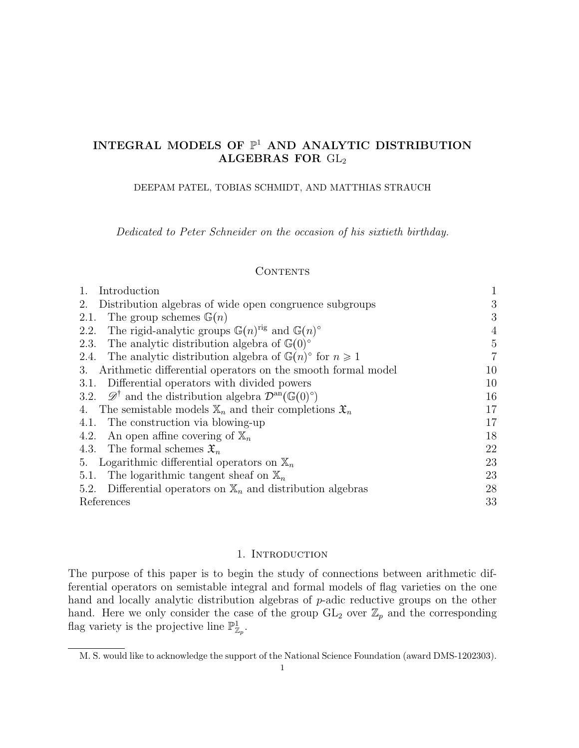# INTEGRAL MODELS OF  $\mathbb{P}^1$  AND ANALYTIC DISTRIBUTION ALGEBRAS FOR GL<sup>2</sup>

DEEPAM PATEL, TOBIAS SCHMIDT, AND MATTHIAS STRAUCH

Dedicated to Peter Schneider on the occasion of his sixtieth birthday.

## **CONTENTS**

| Introduction                                                                                               | $\mathbf{1}$   |
|------------------------------------------------------------------------------------------------------------|----------------|
| Distribution algebras of wide open congruence subgroups<br>2.                                              | 3              |
| The group schemes $\mathbb{G}(n)$<br>2.1.                                                                  | 3              |
| The rigid-analytic groups $\mathbb{G}(n)^{rig}$ and $\mathbb{G}(n)^\circ$<br>2.2.                          | 4              |
| The analytic distribution algebra of $\mathbb{G}(0)^\circ$<br>2.3.                                         | 5              |
| The analytic distribution algebra of $\mathbb{G}(n)$ ° for $n \geq 1$<br>2.4.                              | $\overline{7}$ |
| Arithmetic differential operators on the smooth formal model<br>3.                                         | 10             |
| Differential operators with divided powers<br>3.1.                                                         | 10             |
| 3.2. $\mathscr{D}^{\dagger}$ and the distribution algebra $\mathcal{D}^{\text{an}}(\mathbb{G}(0)^{\circ})$ | 16             |
| 4. The semistable models $\mathbb{X}_n$ and their completions $\mathfrak{X}_n$                             | 17             |
| 4.1. The construction via blowing-up                                                                       | 17             |
| An open affine covering of $\mathbb{X}_n$<br>4.2.                                                          | 18             |
| 4.3. The formal schemes $\mathfrak{X}_n$                                                                   | 22             |
| Logarithmic differential operators on $\mathbb{X}_n$<br>5.                                                 | 23             |
| The logarithmic tangent sheaf on $\mathbb{X}_n$<br>5.1.                                                    | 23             |
| Differential operators on $\mathbb{X}_n$ and distribution algebras<br>5.2.                                 | 28             |
| References                                                                                                 | 33             |

#### 1. INTRODUCTION

The purpose of this paper is to begin the study of connections between arithmetic differential operators on semistable integral and formal models of flag varieties on the one hand and locally analytic distribution algebras of p-adic reductive groups on the other hand. Here we only consider the case of the group  $GL_2$  over  $\mathbb{Z}_p$  and the corresponding flag variety is the projective line  $\mathbb{P}^1_{\mathbb{Z}_p}$ .

M. S. would like to acknowledge the support of the National Science Foundation (award DMS-1202303).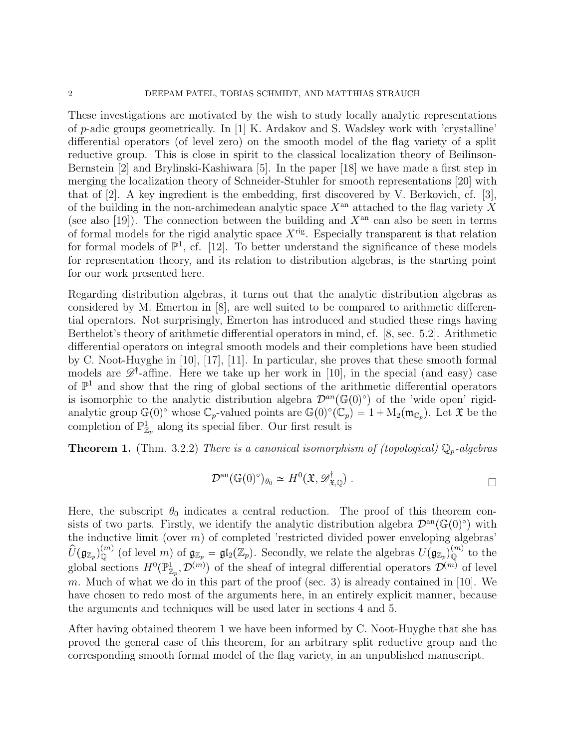These investigations are motivated by the wish to study locally analytic representations of p-adic groups geometrically. In [1] K. Ardakov and S. Wadsley work with 'crystalline' differential operators (of level zero) on the smooth model of the flag variety of a split reductive group. This is close in spirit to the classical localization theory of Beilinson-Bernstein [2] and Brylinski-Kashiwara [5]. In the paper [18] we have made a first step in merging the localization theory of Schneider-Stuhler for smooth representations [20] with that of [2]. A key ingredient is the embedding, first discovered by V. Berkovich, cf. [3], of the building in the non-archimedean analytic space  $X<sup>an</sup>$  attached to the flag variety X (see also [19]). The connection between the building and  $X^{\text{an}}$  can also be seen in terms of formal models for the rigid analytic space  $X^{\text{rig}}$ . Especially transparent is that relation for formal models of  $\mathbb{P}^1$ , cf. [12]. To better understand the significance of these models for representation theory, and its relation to distribution algebras, is the starting point for our work presented here.

Regarding distribution algebras, it turns out that the analytic distribution algebras as considered by M. Emerton in [8], are well suited to be compared to arithmetic differential operators. Not surprisingly, Emerton has introduced and studied these rings having Berthelot's theory of arithmetic differential operators in mind, cf. [8, sec. 5.2]. Arithmetic differential operators on integral smooth models and their completions have been studied by C. Noot-Huyghe in [10], [17], [11]. In particular, she proves that these smooth formal models are  $\mathscr{D}^{\dagger}$ -affine. Here we take up her work in [10], in the special (and easy) case of  $\mathbb{P}^1$  and show that the ring of global sections of the arithmetic differential operators is isomorphic to the analytic distribution algebra  $\mathcal{D}^{an}(\mathbb{G}(0)^\circ)$  of the 'wide open' rigidanalytic group  $\mathbb{G}(0)^\circ$  whose  $\mathbb{C}_p$ -valued points are  $\mathbb{G}(0)^\circ(\mathbb{C}_p) = 1 + M_2(\mathfrak{m}_{\mathbb{C}_p})$ . Let  $\mathfrak{X}$  be the completion of  $\mathbb{P}^1_{\mathbb{Z}_p}$  along its special fiber. Our first result is

**Theorem 1.** (Thm. 3.2.2) There is a canonical isomorphism of (topological)  $\mathbb{Q}_p$ -algebras

$$
\mathcal{D}^{\rm an}(\mathbb{G}(0)^{\circ})_{\theta_0} \simeq H^0(\mathfrak{X}, \mathscr{D}^{\dagger}_{\mathfrak{X},\mathbb{Q}}) .
$$

Here, the subscript  $\theta_0$  indicates a central reduction. The proof of this theorem consists of two parts. Firstly, we identify the analytic distribution algebra  $\mathcal{D}^{\text{an}}(\mathbb{G}(0)^{\circ})$  with the inductive limit (over  $m$ ) of completed 'restricted divided power enveloping algebras'  $\hat{U}(\mathfrak{g}_{\mathbb{Z}_p})_{\mathbb{Q}}^{(m)}$  (of level m) of  $\mathfrak{g}_{\mathbb{Z}_p} = \mathfrak{gl}_2(\mathbb{Z}_p)$ . Secondly, we relate the algebras  $U(\mathfrak{g}_{\mathbb{Z}_p})_{\mathbb{Q}}^{(m)}$  to the global sections  $H^0(\mathbb{P}^1_{\mathbb{Z}_p}, \mathcal{D}^{(m)})$  of the sheaf of integral differential operators  $\mathcal{D}^{(m)}$  of level m. Much of what we do in this part of the proof (sec. 3) is already contained in  $[10]$ . We have chosen to redo most of the arguments here, in an entirely explicit manner, because the arguments and techniques will be used later in sections 4 and 5.

After having obtained theorem 1 we have been informed by C. Noot-Huyghe that she has proved the general case of this theorem, for an arbitrary split reductive group and the corresponding smooth formal model of the flag variety, in an unpublished manuscript.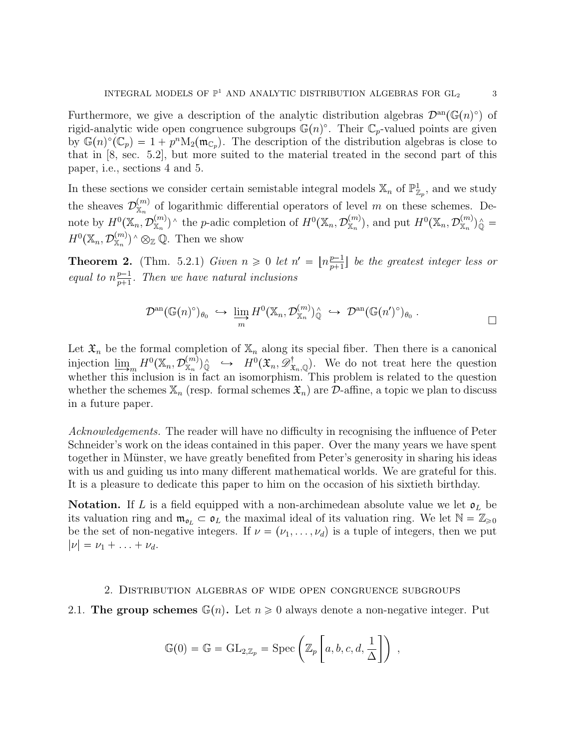Furthermore, we give a description of the analytic distribution algebras  $\mathcal{D}^{\text{an}}(\mathbb{G}(n)^{\circ})$  of rigid-analytic wide open congruence subgroups  $\mathbb{G}(n)^\circ$ . Their  $\mathbb{C}_p$ -valued points are given by  $\mathbb{G}(n)^\circ(\mathbb{C}_p) = 1 + p^n \mathrm{M}_2(\mathfrak{m}_{\mathbb{C}_p})$ . The description of the distribution algebras is close to that in [8, sec. 5.2], but more suited to the material treated in the second part of this paper, i.e., sections 4 and 5.

In these sections we consider certain semistable integral models  $\mathbb{X}_n$  of  $\mathbb{P}^1_{\mathbb{Z}_p}$ , and we study the sheaves  $\mathcal{D}_{\mathbb{X}_n}^{(m)}$  of logarithmic differential operators of level m on these schemes. Denote by  $H^0(\mathbb{X}_n, \mathcal{D}_{\mathbb{X}_n}^{(m)})^{\wedge}$  the p-adic completion of  $H^0(\mathbb{X}_n, \mathcal{D}_{\mathbb{X}_n}^{(m)})$ , and put  $H^0(\mathbb{X}_n, \mathcal{D}_{\mathbb{X}_n}^{(m)})^{\wedge}$  $H^0(\mathbb{X}_n, \mathcal{D}_{\mathbb{X}_n}^{(m)})^{\wedge} \otimes_{\mathbb{Z}} \mathbb{Q}$ . Then we show

**Theorem 2.** (Thm. 5.2.1) Given  $n \geq 0$  let  $n' = \lfloor n \frac{p-1}{n+1} \rfloor$  $\frac{p-1}{p+1}$  be the greatest integer less or equal to  $n_{n+1}^{p-1}$  $\frac{p-1}{p+1}$ . Then we have natural inclusions

$$
\mathcal{D}^{\mathrm{an}}(\mathbb{G}(n)^{\circ})_{\theta_0} \hookrightarrow \varinjlim_{m} H^{0}(\mathbb{X}_n, \mathcal{D}_{\mathbb{X}_n}^{(m)})_{\mathbb{Q}}^{\wedge} \hookrightarrow \mathcal{D}^{\mathrm{an}}(\mathbb{G}(n')^{\circ})_{\theta_0} . \square
$$

Let  $\mathfrak{X}_n$  be the formal completion of  $\mathbb{X}_n$  along its special fiber. Then there is a canonical injection  $\lim_{n \to \infty} H^0(\mathbb{X}_n, \mathcal{D}_{\mathbb{X}_n}^{(m)})^{\wedge}$   $\hookrightarrow$   $H^0(\mathfrak{X}_n, \mathcal{D}_{\mathfrak{X}_n}^{\dagger})$ . We do not treat here the question whether this inclusion is in fact an isomorphism. This problem is related to the question whether the schemes  $\mathbb{X}_n$  (resp. formal schemes  $\mathfrak{X}_n$ ) are  $\mathcal{D}$ -affine, a topic we plan to discuss in a future paper.

Acknowledgements. The reader will have no difficulty in recognising the influence of Peter Schneider's work on the ideas contained in this paper. Over the many years we have spent together in Münster, we have greatly benefited from Peter's generosity in sharing his ideas with us and guiding us into many different mathematical worlds. We are grateful for this. It is a pleasure to dedicate this paper to him on the occasion of his sixtieth birthday.

**Notation.** If L is a field equipped with a non-archimedean absolute value we let  $\mathfrak{o}_L$  be its valuation ring and  $\mathfrak{m}_{\mathfrak{d}_L} \subset \mathfrak{d}_L$  the maximal ideal of its valuation ring. We let  $\mathbb{N} = \mathbb{Z}_{\geqslant 0}$ be the set of non-negative integers. If  $\nu = (\nu_1, \ldots, \nu_d)$  is a tuple of integers, then we put  $|\nu| = \nu_1 + \ldots + \nu_d.$ 

#### 2. Distribution algebras of wide open congruence subgroups

### 2.1. The group schemes  $\mathbb{G}(n)$ . Let  $n \geq 0$  always denote a non-negative integer. Put

$$
\mathbb{G}(0) = \mathbb{G} = GL_{2,\mathbb{Z}_p} = \mathrm{Spec}\left(\mathbb{Z}_p\left[a, b, c, d, \frac{1}{\Delta}\right]\right) ,
$$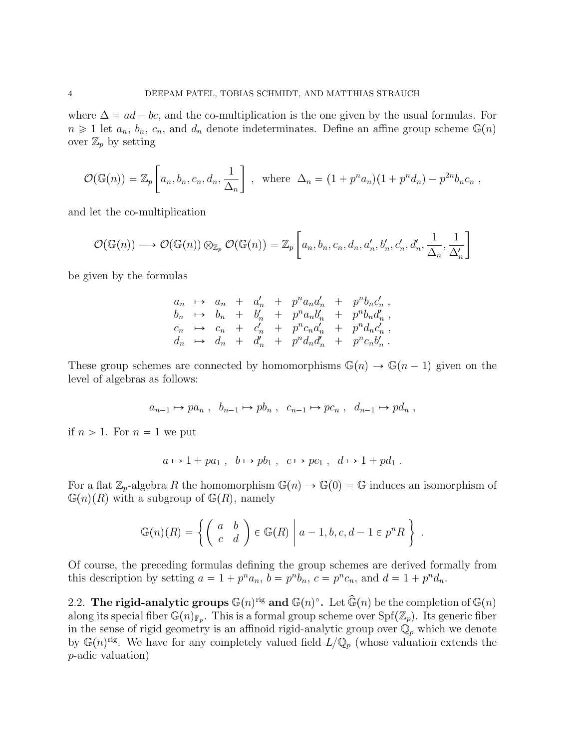where  $\Delta = ad - bc$ , and the co-multiplication is the one given by the usual formulas. For  $n \geq 1$  let  $a_n$ ,  $b_n$ ,  $c_n$ , and  $d_n$  denote indeterminates. Define an affine group scheme  $\mathbb{G}(n)$ over  $\mathbb{Z}_p$  by setting

$$
\mathcal{O}(\mathbb{G}(n)) = \mathbb{Z}_p\left[a_n, b_n, c_n, d_n, \frac{1}{\Delta_n}\right], \text{ where } \Delta_n = (1 + p^n a_n)(1 + p^n d_n) - p^{2n} b_n c_n,
$$

and let the co-multiplication

$$
\mathcal{O}(\mathbb{G}(n)) \longrightarrow \mathcal{O}(\mathbb{G}(n)) \otimes_{\mathbb{Z}_p} \mathcal{O}(\mathbb{G}(n)) = \mathbb{Z}_p \left[ a_n, b_n, c_n, d_n, a'_n, b'_n, c'_n, d'_n, \frac{1}{\Delta_n}, \frac{1}{\Delta'_n} \right]
$$

be given by the formulas

$$
a_n \rightarrow a_n + a'_n + p^n a_n a'_n + p^n b_n c'_n ,
$$
  
\n
$$
b_n \rightarrow b_n + b'_n + p^n a_n b'_n + p^n b_n d'_n ,
$$
  
\n
$$
c_n \rightarrow c_n + c'_n + p^n c_n a'_n + p^n d_n c'_n ,
$$
  
\n
$$
d_n \rightarrow d_n + d'_n + p^n d_n d'_n + p^n c_n b'_n .
$$

These group schemes are connected by homomorphisms  $\mathbb{G}(n) \to \mathbb{G}(n - 1)$  given on the level of algebras as follows:

$$
a_{n-1} \mapsto pa_n
$$
,  $b_{n-1} \mapsto pb_n$ ,  $c_{n-1} \mapsto pc_n$ ,  $d_{n-1} \mapsto pd_n$ ,

if  $n > 1$ . For  $n = 1$  we put

$$
a \mapsto 1 + pa_1
$$
,  $b \mapsto pb_1$ ,  $c \mapsto pc_1$ ,  $d \mapsto 1 + pd_1$ .

For a flat  $\mathbb{Z}_p$ -algebra R the homomorphism  $\mathbb{G}(n) \to \mathbb{G}(0) = \mathbb{G}$  induces an isomorphism of  $\mathbb{G}(n)(R)$  with a subgroup of  $\mathbb{G}(R)$ , namely

$$
\mathbb{G}(n)(R) = \left\{ \left( \begin{array}{cc} a & b \\ c & d \end{array} \right) \in \mathbb{G}(R) \mid a-1, b, c, d-1 \in p^n R \right\} \, .
$$

Of course, the preceding formulas defining the group schemes are derived formally from this description by setting  $a = 1 + p^n a_n$ ,  $b = p^n b_n$ ,  $c = p^n c_n$ , and  $d = 1 + p^n d_n$ .

2.2. The rigid-analytic groups  $\mathbb{G}(n)^{rig}$  and  $\mathbb{G}(n)^\circ$ . Let  $\widehat{\mathbb{G}}(n)$  be the completion of  $\mathbb{G}(n)$ along its special fiber  $\mathbb{G}(n)_{\mathbb{F}_p}$ . This is a formal group scheme over  $\text{Spf}(\mathbb{Z}_p)$ . Its generic fiber in the sense of rigid geometry is an affinoid rigid-analytic group over  $\mathbb{Q}_p$  which we denote by  $\mathbb{G}(n)^{rig}$ . We have for any completely valued field  $L/\mathbb{Q}_p$  (whose valuation extends the p-adic valuation)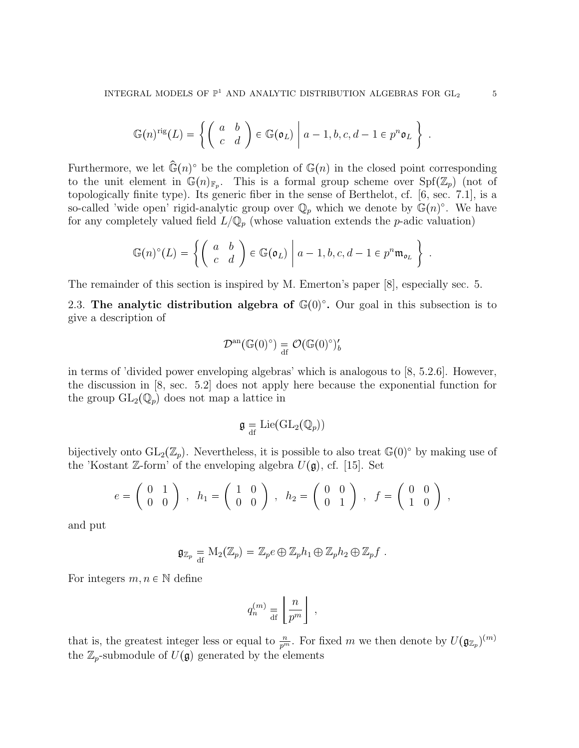$$
\mathbb{G}(n)^{\text{rig}}(L) = \left\{ \left( \begin{array}{cc} a & b \\ c & d \end{array} \right) \in \mathbb{G}(\mathfrak{o}_L) \middle| a-1, b, c, d-1 \in p^n \mathfrak{o}_L \right\}.
$$

Furthermore, we let  $\widehat{\mathbb{G}}(n)$ <sup>o</sup> be the completion of  $\mathbb{G}(n)$  in the closed point corresponding to the unit element in  $\mathbb{G}(n)_{\mathbb{F}_p}$ . This is a formal group scheme over  $\text{Spf}(\mathbb{Z}_p)$  (not of topologically finite type). Its generic fiber in the sense of Berthelot, cf. [6, sec. 7.1], is a so-called 'wide open' rigid-analytic group over  $\mathbb{Q}_p$  which we denote by  $\mathbb{G}(n)^\circ$ . We have for any completely valued field  $L/\mathbb{Q}_p$  (whose valuation extends the *p*-adic valuation)

$$
\mathbb{G}(n)^{\circ}(L) = \left\{ \left( \begin{array}{cc} a & b \\ c & d \end{array} \right) \in \mathbb{G}(\mathfrak{o}_L) \middle| a-1, b, c, d-1 \in p^n \mathfrak{m}_{\mathfrak{o}_L} \right\} \; .
$$

The remainder of this section is inspired by M. Emerton's paper [8], especially sec. 5.

2.3. The analytic distribution algebra of  $\mathbb{G}(0)^\circ$ . Our goal in this subsection is to give a description of

$$
\mathcal{D}^{\mathrm{an}}(\mathbb{G}(0)^{\circ}) \underset{\mathrm{df}}{=} \mathcal{O}(\mathbb{G}(0)^{\circ})_{b}'
$$

in terms of 'divided power enveloping algebras' which is analogous to  $[8, 5.2.6]$ . However, the discussion in [8, sec. 5.2] does not apply here because the exponential function for the group  $GL_2(\mathbb{Q}_p)$  does not map a lattice in

$$
\mathfrak{g} = \mathrm{Lie}(\mathrm{GL}_2(\mathbb{Q}_p))
$$

bijectively onto  $GL_2(\mathbb{Z}_p)$ . Nevertheless, it is possible to also treat  $\mathbb{G}(0)^\circ$  by making use of the 'Kostant Z-form' of the enveloping algebra  $U(\mathfrak{g})$ , cf. [15]. Set

$$
e = \begin{pmatrix} 0 & 1 \\ 0 & 0 \end{pmatrix}
$$
,  $h_1 = \begin{pmatrix} 1 & 0 \\ 0 & 0 \end{pmatrix}$ ,  $h_2 = \begin{pmatrix} 0 & 0 \\ 0 & 1 \end{pmatrix}$ ,  $f = \begin{pmatrix} 0 & 0 \\ 1 & 0 \end{pmatrix}$ ,

and put

$$
\mathfrak{g}_{\mathbb{Z}_p} = M_2(\mathbb{Z}_p) = \mathbb{Z}_p e \oplus \mathbb{Z}_p h_1 \oplus \mathbb{Z}_p h_2 \oplus \mathbb{Z}_p f.
$$

For integers  $m, n \in \mathbb{N}$  define

$$
q_n^{(m)} \equiv \left\lfloor \frac{n}{p^m} \right\rfloor \; ,
$$

that is, the greatest integer less or equal to  $\frac{n}{p^m}$ . For fixed m we then denote by  $U(\mathfrak{g}_{\mathbb{Z}_p})^{(m)}$ the  $\mathbb{Z}_p$ -submodule of  $U(\mathfrak{g})$  generated by the elements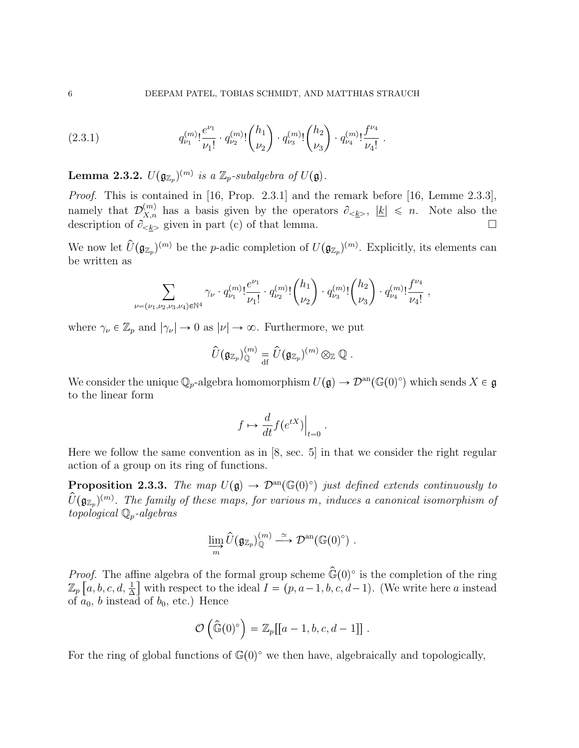$$
(2.3.1) \t q_{\nu_1}^{(m)}! \frac{e^{\nu_1}}{\nu_1!} \cdot q_{\nu_2}^{(m)}! {h_1 \choose \nu_2} \cdot q_{\nu_3}^{(m)}! {h_2 \choose \nu_3} \cdot q_{\nu_4}^{(m)}! \frac{f^{\nu_4}}{\nu_4!}.
$$

**Lemma 2.3.2.**  $U(\mathfrak{g}_{\mathbb{Z}_p})^{(m)}$  is a  $\mathbb{Z}_p$ -subalgebra of  $U(\mathfrak{g})$ .

Proof. This is contained in [16, Prop. 2.3.1] and the remark before [16, Lemme 2.3.3], namely that  $\mathcal{D}_{X,n}^{(m)}$  has a basis given by the operators  $\partial_{\leq k}$ ,  $|k| \leq n$ . Note also the description of  $\partial_{\le k>}$  given in part (c) of that lemma.

We now let  $\hat{U}(\mathfrak{g}_{\mathbb{Z}_p})^{(m)}$  be the p-adic completion of  $U(\mathfrak{g}_{\mathbb{Z}_p})^{(m)}$ . Explicitly, its elements can be written as

$$
\sum_{\nu=(\nu_1,\nu_2,\nu_3,\nu_4)\in\mathbb{N}^4}\gamma_\nu\cdot q^{(m)}_{\nu_1}!\frac{e^{\nu_1}}{\nu_1!}\cdot q^{(m)}_{\nu_2}!\binom{h_1}{\nu_2}\cdot q^{(m)}_{\nu_3}!\binom{h_2}{\nu_3}\cdot q^{(m)}_{\nu_4}!\frac{f^{\nu_4}}{\nu_4!}\ ,
$$

where  $\gamma_{\nu} \in \mathbb{Z}_p$  and  $|\gamma_{\nu}| \to 0$  as  $|\nu| \to \infty$ . Furthermore, we put

$$
\widehat{U}(\mathfrak{g}_{\mathbb{Z}_p})_{\mathbb{Q}}^{(m)}\stackrel{ }{=}\widehat{U}(\mathfrak{g}_{\mathbb{Z}_p})^{(m)}\otimes_{\mathbb{Z}}\mathbb{Q} \;.
$$

We consider the unique  $\mathbb{Q}_p$ -algebra homomorphism  $U(\mathfrak{g}) \to \mathcal{D}^{\rm an}(\mathbb{G}(0)^\circ)$  which sends  $X \in \mathfrak{g}$ to the linear form

$$
f \mapsto \frac{d}{dt} f(e^{tX})\Big|_{t=0}.
$$

Here we follow the same convention as in [8, sec. 5] in that we consider the right regular action of a group on its ring of functions.

**Proposition 2.3.3.** The map  $U(\mathfrak{g}) \to \mathcal{D}^{\text{an}}(\mathbb{G}(0)^{\circ})$  just defined extends continuously to  $\widetilde{U}(\mathfrak{g}_{\mathbb{Z}_p})^{(m)}$ . The family of these maps, for various m, induces a canonical isomorphism of topological  $\mathbb{Q}_p$ -algebras

$$
\varinjlim_{m} \widehat{U}(\mathfrak{g}_{\mathbb{Z}_p})_{\mathbb{Q}}^{(m)} \stackrel{\simeq}{\longrightarrow} \mathcal{D}^{\rm an}(\mathbb{G}(0)^{\circ}) .
$$

*Proof.* The affine algebra of the formal group scheme  $\hat{\mathbb{G}}(0)^\circ$  is the completion of the ring  $\mathbb{Z}_p\left[a, b, c, d, \frac{1}{\Delta}\right]$  with respect to the ideal  $I = (p, a-1, b, c, d-1)$ . (We write here a instead of  $a_0$ , b instead of  $b_0$ , etc.) Hence

$$
\mathcal{O}\left(\widehat{\mathbb{G}}(0)^{\circ}\right) = \mathbb{Z}_p[[a-1,b,c,d-1]]\ .
$$

For the ring of global functions of  $\mathbb{G}(0)^\circ$  we then have, algebraically and topologically,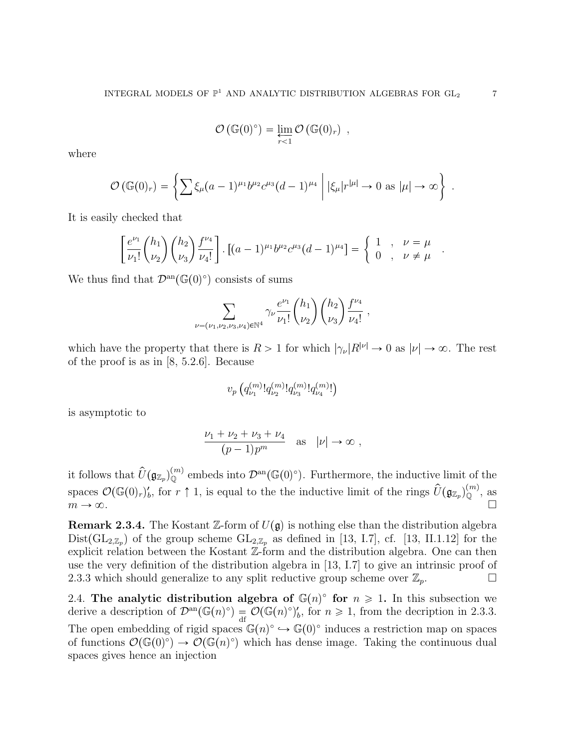$$
\mathcal{O}\left(\mathbb{G}(0)^{\circ}\right) = \varprojlim_{r < 1} \mathcal{O}\left(\mathbb{G}(0)_r\right) ,
$$

where

$$
\mathcal{O}(\mathbb{G}(0)_r) = \left\{ \sum \xi_\mu (a-1)^{\mu_1} b^{\mu_2} c^{\mu_3} (d-1)^{\mu_4} \middle| |\xi_\mu| r^{|\mu|} \to 0 \text{ as } |\mu| \to \infty \right\} .
$$

It is easily checked that

$$
\left[\frac{e^{\nu_1}}{\nu_1!} \binom{h_1}{\nu_2} \binom{h_2}{\nu_3} \frac{f^{\nu_4}}{\nu_4!} \right] \cdot \left[ (a-1)^{\mu_1} b^{\mu_2} c^{\mu_3} (d-1)^{\mu_4} \right] = \begin{cases} 1, & \nu = \mu \\ 0, & \nu \neq \mu \end{cases}
$$

We thus find that  $\mathcal{D}^{\text{an}}(\mathbb{G}(0)^{\circ})$  consists of sums

$$
\sum_{\nu=(\nu_1,\nu_2,\nu_3,\nu_4)\in\mathbb{N}^4}\gamma_\nu\frac{e^{\nu_1}}{\nu_1!}\binom{h_1}{\nu_2}\binom{h_2}{\nu_3}\frac{f^{\nu_4}}{\nu_4!},
$$

which have the property that there is  $R > 1$  for which  $|\gamma_{\nu}|R^{|\nu|} \to 0$  as  $|\nu| \to \infty$ . The rest of the proof is as in [8, 5.2.6]. Because

$$
v_p\left(q_{\nu_1}^{(m)}!q_{\nu_2}^{(m)}!q_{\nu_3}^{(m)}!q_{\nu_4}^{(m)}!\right)
$$

is asymptotic to

$$
\frac{\nu_1 + \nu_2 + \nu_3 + \nu_4}{(p-1)p^m} \quad \text{as} \quad |\nu| \to \infty ,
$$

it follows that  $\hat{U}(\mathfrak{g}_{\mathbb{Z}_p})_{\mathbb{Q}}^{(m)}$  embeds into  $\mathcal{D}^{\rm an}(\mathbb{G}(0)^{\circ})$ . Furthermore, the inductive limit of the spaces  $\mathcal{O}(\mathbb{G}(0)_r)_b'$ , for  $r \uparrow 1$ , is equal to the the inductive limit of the rings  $\hat{U}(\mathfrak{g}_{\mathbb{Z}_p})_{\mathbb{Q}}^{(m)}$ , as  $m \to \infty$ .

**Remark 2.3.4.** The Kostant Z-form of  $U(\mathfrak{g})$  is nothing else than the distribution algebra  $Dist(GL_{2,\mathbb{Z}_p})$  of the group scheme  $GL_{2,\mathbb{Z}_p}$  as defined in [13, I.7], cf. [13, II.1.12] for the explicit relation between the Kostant  $\mathbb{Z}$ -form and the distribution algebra. One can then use the very definition of the distribution algebra in [13, I.7] to give an intrinsic proof of 2.3.3 which should generalize to any split reductive group scheme over  $\mathbb{Z}_p$ .

2.4. The analytic distribution algebra of  $\mathbb{G}(n)^\circ$  for  $n \geq 1$ . In this subsection we derive a description of  $\mathcal{D}^{\text{an}}(\mathbb{G}(n)^{\circ}) = \mathcal{O}(\mathbb{G}(n)^{\circ})'_{b}$ , for  $n \geq 1$ , from the decription in 2.3.3. The open embedding of rigid spaces  $\mathbb{G}(n)^\circ \hookrightarrow \mathbb{G}(0)^\circ$  induces a restriction map on spaces of functions  $\mathcal{O}(\mathbb{G}(0)^{\circ}) \to \mathcal{O}(\mathbb{G}(n)^{\circ})$  which has dense image. Taking the continuous dual spaces gives hence an injection

.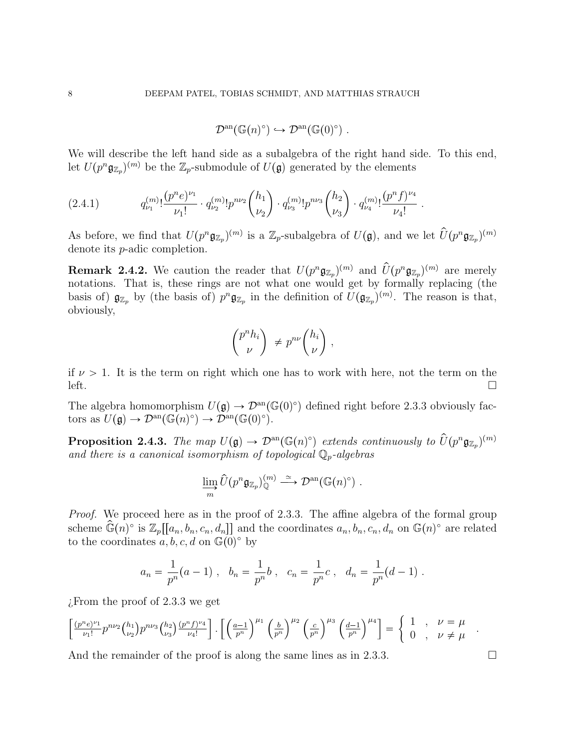$$
\mathcal{D}^{\mathrm{an}}(\mathbb{G}(n)^{\circ}) \hookrightarrow \mathcal{D}^{\mathrm{an}}(\mathbb{G}(0)^{\circ}) .
$$

We will describe the left hand side as a subalgebra of the right hand side. To this end, let  $U(p^n \mathfrak{g}_{\mathbb{Z}_p})^{(m)}$  be the  $\mathbb{Z}_p$ -submodule of  $U(\mathfrak{g})$  generated by the elements

$$
(2.4.1) \t q_{\nu_1}^{(m)}! \frac{(p^n e)^{\nu_1}}{\nu_1!} \cdot q_{\nu_2}^{(m)}! p^{n\nu_2} {h_1 \choose \nu_2} \cdot q_{\nu_3}^{(m)}! p^{n\nu_3} {h_2 \choose \nu_3} \cdot q_{\nu_4}^{(m)}! \frac{(p^n f)^{\nu_4}}{\nu_4!}.
$$

As before, we find that  $U(p^n \mathfrak{g}_{\mathbb{Z}_p})^{(m)}$  is a  $\mathbb{Z}_p$ -subalgebra of  $U(\mathfrak{g})$ , and we let  $\widehat{U}(p^n \mathfrak{g}_{\mathbb{Z}_p})^{(m)}$ denote its p-adic completion.

**Remark 2.4.2.** We caution the reader that  $U(p^n \mathfrak{g}_{\mathbb{Z}_p})^{(m)}$  and  $\hat{U}(p^n \mathfrak{g}_{\mathbb{Z}_p})^{(m)}$  are merely notations. That is, these rings are not what one would get by formally replacing (the basis of)  $\mathfrak{g}_{\mathbb{Z}_p}$  by (the basis of)  $p^n \mathfrak{g}_{\mathbb{Z}_p}$  in the definition of  $U(\mathfrak{g}_{\mathbb{Z}_p})^{(m)}$ . The reason is that, obviously,

$$
\binom{p^n h_i}{\nu} \neq p^{n\nu} \binom{h_i}{\nu},
$$

if  $\nu > 1$ . It is the term on right which one has to work with here, not the term on the  $\Gamma$ left.

The algebra homomorphism  $U(\mathfrak{g}) \to \mathcal{D}^{\text{an}}(\mathbb{G}(0)^{\circ})$  defined right before 2.3.3 obviously factors as  $U(\mathfrak{g}) \to \mathcal{D}^{\rm an}(\mathbb{G}(n)^\circ) \to \mathcal{D}^{\rm an}(\mathbb{G}(0)^\circ).$ 

**Proposition 2.4.3.** The map  $U(\mathfrak{g}) \to \mathcal{D}^{\text{an}}(\mathbb{G}(n)^{\circ})$  extends continuously to  $\widehat{U}(p^n \mathfrak{g}_{\mathbb{Z}_p})^{(m)}$ and there is a canonical isomorphism of topological  $\mathbb{Q}_p$ -algebras

$$
\varinjlim_{m} \widehat{U}(p^{n} \mathfrak{g}_{\mathbb{Z}_p})_{\mathbb{Q}}^{(m)} \stackrel{\simeq}{\longrightarrow} \mathcal{D}^{\rm an}(\mathbb{G}(n)^{\circ}) .
$$

Proof. We proceed here as in the proof of 2.3.3. The affine algebra of the formal group scheme  $\widehat{\mathbb{G}}(n)$ ° is  $\mathbb{Z}_p[[a_n, b_n, c_n, d_n]]$  and the coordinates  $a_n, b_n, c_n, d_n$  on  $\mathbb{G}(n)$ ° are related to the coordinates  $a, b, c, d$  on  $\mathbb{G}(0)^\circ$  by

$$
a_n = \frac{1}{p^n}(a-1)
$$
,  $b_n = \frac{1}{p^n}b$ ,  $c_n = \frac{1}{p^n}c$ ,  $d_n = \frac{1}{p^n}(d-1)$ .

¿From the proof of 2.3.3 we get

$$
\left[\frac{(p^n e)^{\nu_1}}{\nu_1!}p^{n\nu_2}{h_1 \choose \nu_2}p^{n\nu_3}{h_2 \choose \nu_3}\frac{(p^n f)^{\nu_4}}{\nu_4!}\right].\left[\left(\frac{a-1}{p^n}\right)^{\mu_1}\left(\frac{b}{p^n}\right)^{\mu_2}\left(\frac{c}{p^n}\right)^{\mu_3}\left(\frac{d-1}{p^n}\right)^{\mu_4}\right]=\begin{cases} 1 & , \quad \nu=\mu \\ 0 & , \quad \nu\neq\mu \end{cases}
$$

And the remainder of the proof is along the same lines as in 2.3.3.

.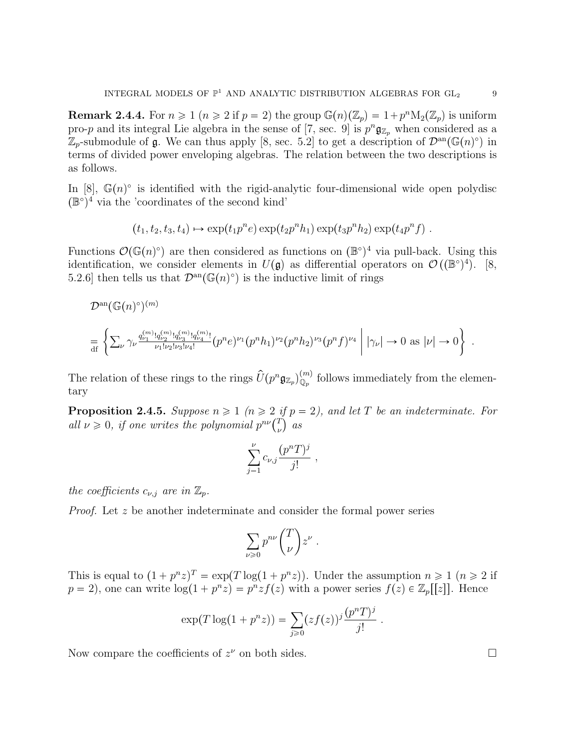**Remark 2.4.4.** For  $n \geq 1$   $(n \geq 2$  if  $p = 2)$  the group  $\mathbb{G}(n)(\mathbb{Z}_p) = 1 + p^n \mathcal{M}_2(\mathbb{Z}_p)$  is uniform pro-p and its integral Lie algebra in the sense of [7, sec. 9] is  $p^n \mathfrak{g}_{\mathbb{Z}_p}$  when considered as a  $\mathbb{Z}_p$ -submodule of  $\mathfrak{g}$ . We can thus apply [8, sec. 5.2] to get a description of  $\mathcal{D}^{\rm an}(\mathbb{G}(n)^\circ)$  in terms of divided power enveloping algebras. The relation between the two descriptions is as follows.

In [8],  $\mathbb{G}(n)$  is identified with the rigid-analytic four-dimensional wide open polydisc  $(\mathbb{B}^{\circ})^4$  via the 'coordinates of the second kind'

$$
(t_1, t_2, t_3, t_4) \mapsto \exp(t_1 p^n e) \exp(t_2 p^n h_1) \exp(t_3 p^n h_2) \exp(t_4 p^n f).
$$

Functions  $\mathcal{O}(\mathbb{G}(n)^\circ)$  are then considered as functions on  $(\mathbb{B}^\circ)^4$  via pull-back. Using this identification, we consider elements in  $U(\mathfrak{g})$  as differential operators on  $\mathcal{O}((\mathbb{B}^{\circ})^4)$ . [8, 5.2.6 then tells us that  $\mathcal{D}^{\text{an}}(\mathbb{G}(n)^{\circ})$  is the inductive limit of rings

$$
\mathcal{D}^{\rm an}(\mathbb{G}(n)^{\circ})^{(m)}
$$
\n
$$
= \left\{ \sum_{\nu} \gamma_{\nu} \frac{q_{\nu_1}^{(m)}! q_{\nu_2}^{(m)}! q_{\nu_3}^{(m)}! q_{\nu_4}^{(m)}!}{\nu_1! \nu_2! \nu_3! \nu_4!} (p^n e)^{\nu_1} (p^n h_1)^{\nu_2} (p^n h_2)^{\nu_3} (p^n f)^{\nu_4} \mid |\gamma_{\nu}| \to 0 \text{ as } |\nu| \to 0 \right\} .
$$

The relation of these rings to the rings  $\hat{U}(p^n \mathfrak{g}_{\mathbb{Z}_p})_{\mathbb{Q}_p}^{(m)}$  follows immediately from the elementary

**Proposition 2.4.5.** Suppose  $n \geq 1$  ( $n \geq 2$  if  $p = 2$ ), and let T be an indeterminate. For all  $\nu \geq 0$ , if one writes the polynomial  $p^{n\nu}$   $\binom{T}{\nu}$  $\int\limits_{\nu}^{T}\Big)\ \, as$ 

$$
\sum_{j=1}^{\nu} c_{\nu,j} \frac{(p^n T)^j}{j!} ,
$$

the coefficients  $c_{\nu,j}$  are in  $\mathbb{Z}_p$ .

Proof. Let z be another indeterminate and consider the formal power series

$$
\sum_{\nu\geqslant 0}p^{n\nu}\binom{T}{\nu}z^\nu
$$

.

This is equal to  $(1 + p^n z)^T = \exp(T \log(1 + p^n z))$ . Under the assumption  $n \ge 1$   $(n \ge 2$  if  $p = 2$ , one can write  $\log(1 + p^n z) = p^n z f(z)$  with a power series  $f(z) \in \mathbb{Z}_p[[z]]$ . Hence

$$
\exp(T \log(1 + p^{n} z)) = \sum_{j \geq 0} (zf(z))^{j} \frac{(p^{n} T)^{j}}{j!}.
$$

Now compare the coefficients of  $z^{\nu}$  on both sides.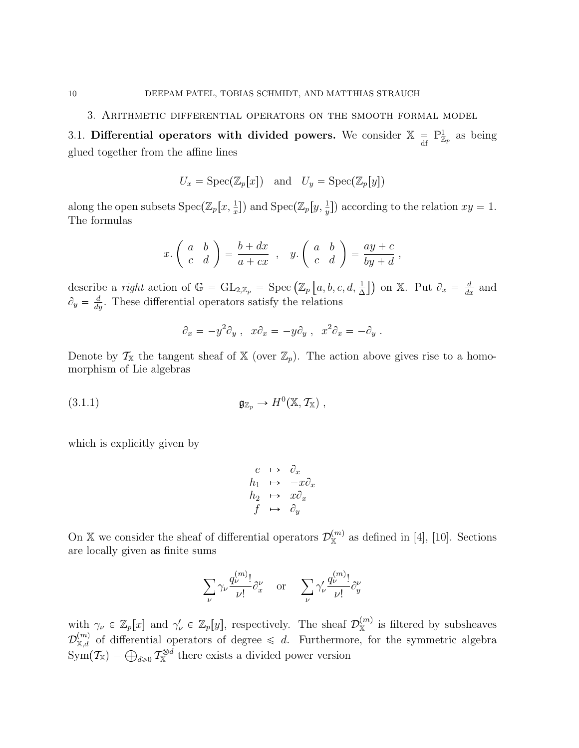3. Arithmetic differential operators on the smooth formal model

3.1. Differential operators with divided powers. We consider  $\mathbb{X} =$  $\mathbb{P}^1_{\mathbb{Z}_p}$  as being glued together from the affine lines

$$
U_x = \text{Spec}(\mathbb{Z}_p[x])
$$
 and  $U_y = \text{Spec}(\mathbb{Z}_p[y])$ 

along the open subsets  $Spec(\mathbb{Z}_p[x, \frac{1}{x}])$  and  $Spec(\mathbb{Z}_p[y, \frac{1}{y}])$  according to the relation  $xy = 1$ . The formulas

$$
x.\begin{pmatrix} a & b \\ c & d \end{pmatrix} = \frac{b+dx}{a+cx} , y.\begin{pmatrix} a & b \\ c & d \end{pmatrix} = \frac{ay+c}{by+d} ,
$$

describe a *right* action of  $\mathbb{G} = GL_{2,\mathbb{Z}_p} = \text{Spec} (\mathbb{Z}_p [a, b, c, d, \frac{1}{\Delta}])$  on X. Put  $\partial_x = \frac{d}{dx}$  and  $\partial_y = \frac{d}{dy}$ . These differential operators satisfy the relations

$$
\partial_x = -y^2 \partial_y , \quad x \partial_x = -y \partial_y , \quad x^2 \partial_x = -\partial_y .
$$

Denote by  $\mathcal{T}_{\mathbb{X}}$  the tangent sheaf of  $\mathbb{X}$  (over  $\mathbb{Z}_p$ ). The action above gives rise to a homomorphism of Lie algebras

(3.1.1) 
$$
\mathfrak{g}_{\mathbb{Z}_p} \to H^0(\mathbb{X}, \mathcal{T}_{\mathbb{X}}) ,
$$

which is explicitly given by

$$
\begin{array}{rcl}\n e & \mapsto & \partial_x \\
 h_1 & \mapsto & -x \partial_x \\
 h_2 & \mapsto & x \partial_x \\
 f & \mapsto & \partial_y\n \end{array}
$$

On X we consider the sheaf of differential operators  $\mathcal{D}_{\mathbb{X}}^{(m)}$  as defined in [4], [10]. Sections are locally given as finite sums

$$
\sum_{\nu} \gamma_{\nu} \frac{q_{\nu}^{(m)}}{\nu!} \partial_x^{\nu} \quad \text{or} \quad \sum_{\nu} \gamma_{\nu}' \frac{q_{\nu}^{(m)}}{\nu!} \partial_y^{\nu}
$$

with  $\gamma_{\nu} \in \mathbb{Z}_p[x]$  and  $\gamma_{\nu}' \in \mathbb{Z}_p[y]$ , respectively. The sheaf  $\mathcal{D}_{\mathbb{X}}^{(m)}$  is filtered by subsheaves  $\mathcal{D}_{\mathbb{X},d}^{(m)}$  of differential operators of degree  $\leq d$ . Furthermore, for the symmetric algebra  $\text{Sym}(\mathcal{T}_{\mathbb{X}}) = \bigoplus_{d \geqslant 0} \mathcal{T}_{\mathbb{X}}^{\otimes d}$  there exists a divided power version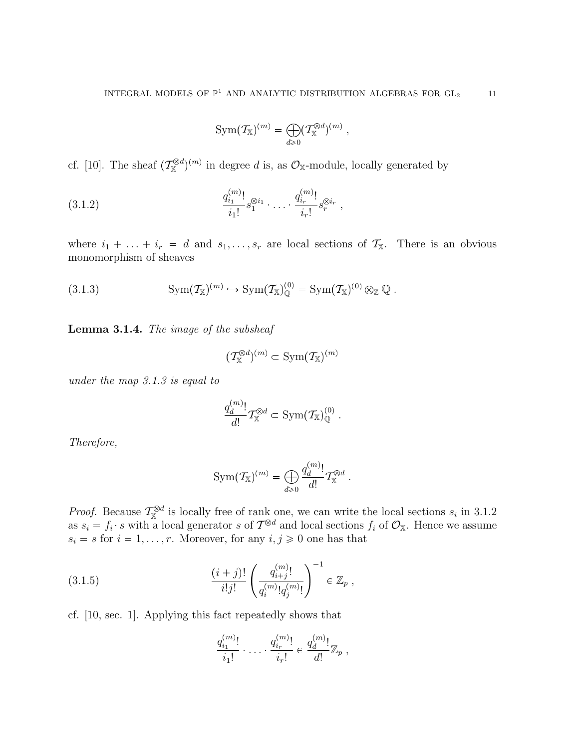$$
\mathrm{Sym}(\mathcal{T}_{\mathbb{X}})^{(m)} = \bigoplus_{d \geq 0} (\mathcal{T}_{\mathbb{X}}^{\otimes d})^{(m)},
$$

cf. [10]. The sheaf  $(\mathcal{T}_{\mathbb{X}}^{\otimes d})^{(m)}$  in degree d is, as  $\mathcal{O}_{\mathbb{X}}$ -module, locally generated by

$$
(3.1.2) \qquad \qquad \frac{q_{i_1}^{(m)}!}{i_1!} s_1^{\otimes i_1} \cdot \ldots \cdot \frac{q_{i_r}^{(m)}!}{i_r!} s_r^{\otimes i_r} \ ,
$$

where  $i_1 + \ldots + i_r = d$  and  $s_1, \ldots, s_r$  are local sections of  $\mathcal{T}_X$ . There is an obvious monomorphism of sheaves

(3.1.3) 
$$
\mathrm{Sym}(\mathcal{T}_{\mathbb{X}})^{(m)} \hookrightarrow \mathrm{Sym}(\mathcal{T}_{\mathbb{X}})^{(0)}_{\mathbb{Q}} = \mathrm{Sym}(\mathcal{T}_{\mathbb{X}})^{(0)} \otimes_{\mathbb{Z}} \mathbb{Q} .
$$

Lemma 3.1.4. The image of the subsheaf

$$
(\mathcal{T}_{\mathbb{X}}^{\otimes d})^{(m)}\subset \mathrm{Sym}(\mathcal{T}_{\mathbb{X}})^{(m)}
$$

under the map 3.1.3 is equal to

$$
\frac{q_d^{(m)}}{d!} \mathcal{T}_{\mathbb{X}}^{\otimes d} \subset \text{Sym}(\mathcal{T}_{\mathbb{X}})^{(0)}_{\mathbb{Q}}.
$$

Therefore,

$$
\mathrm{Sym}(\mathcal{T}_{\mathbb{X}})^{(m)} = \bigoplus_{d \geqslant 0} \frac{q^{(m)}_d!}{d!} \mathcal{T}_{\mathbb{X}}^{\otimes d}.
$$

*Proof.* Because  $\mathcal{T}_{\mathbb{X}}^{\otimes d}$  is locally free of rank one, we can write the local sections  $s_i$  in 3.1.2 as  $s_i = f_i \cdot s$  with a local generator s of  $\mathcal{T}^{\otimes d}$  and local sections  $f_i$  of  $\mathcal{O}_{\mathbb{X}}$ . Hence we assume  $s_i = s$  for  $i = 1, \ldots, r$ . Moreover, for any  $i, j \geq 0$  one has that

(3.1.5) 
$$
\frac{(i+j)!}{i!j!} \left( \frac{q_{i+j}^{(m)}!}{q_i^{(m)}!q_j^{(m)}!} \right)^{-1} \in \mathbb{Z}_p ,
$$

cf. [10, sec. 1]. Applying this fact repeatedly shows that

$$
\frac{q_{i_1}^{(m)}!}{i_1!} \cdot \ldots \cdot \frac{q_{i_r}^{(m)}!}{i_r!} \in \frac{q_d^{(m)}!}{d!} \mathbb{Z}_p ,
$$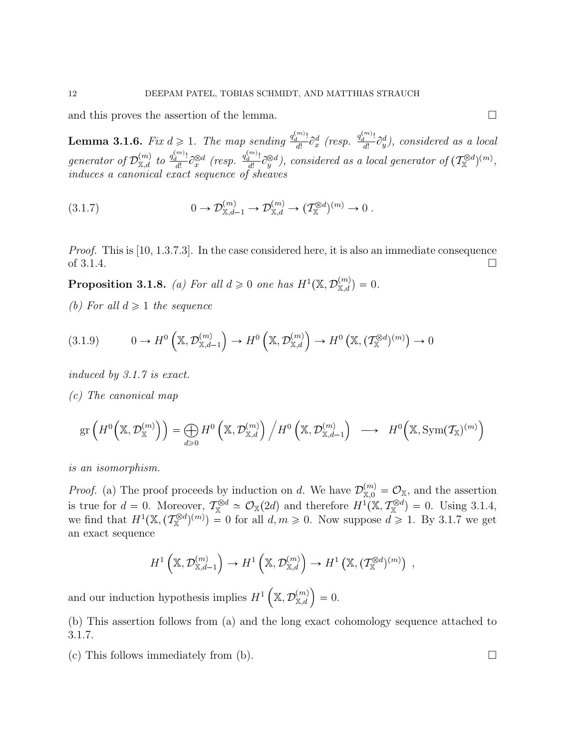and this proves the assertion of the lemma.  $\Box$ 

**Lemma 3.1.6.** Fix  $d \geq 1$ . The map sending  $\frac{q_d^{(m)}!}{d!}$  $\frac{q^{(m)}_d!}{d!}\partial_x^d$  (resp.  $\frac{q^{(m)}_d!}{d!}$  $\frac{d}{dt} \partial_y^d$ , considered as a local generator of  $\mathcal{D}_{\mathbb{X},d}^{(m)}$  to  $\frac{q^{(m)}_d!}{d!}$  $\frac{d^{(m)}_l!}{d!} \partial^{\otimes d}_x$  (resp.  $\frac{q^{(m)}_d!}{d!}$  $\frac{d\hat{H}^{-1}}{d\hat{H}}\partial_y^{\otimes d}$ ), considered as a local generator of  $(\mathcal{T}_{\mathbb{X}}^{\otimes d})^{(m)}$ , induces a canonical exact sequence of sheaves

(3.1.7) 
$$
0 \to \mathcal{D}_{\mathbb{X},d-1}^{(m)} \to \mathcal{D}_{\mathbb{X},d}^{(m)} \to (\mathcal{T}_{\mathbb{X}}^{\otimes d})^{(m)} \to 0.
$$

*Proof.* This is [10, 1.3.7.3]. In the case considered here, it is also an immediate consequence of 3.1.4.  $\Box$ 

**Proposition 3.1.8.** (a) For all  $d \geq 0$  one has  $H^1(\mathbb{X}, \mathcal{D}_{\mathbb{X},d}^{(m)}) = 0$ .

(b) For all  $d \geq 1$  the sequence

$$
(3.1.9) \t 0 \to H^0\left(\mathbb{X}, \mathcal{D}_{\mathbb{X},d-1}^{(m)}\right) \to H^0\left(\mathbb{X}, \mathcal{D}_{\mathbb{X},d}^{(m)}\right) \to H^0\left(\mathbb{X}, \left(\mathcal{T}_{\mathbb{X}}^{\otimes d}\right)^{(m)}\right) \to 0
$$

induced by 3.1.7 is exact.

(c) The canonical map

$$
\text{gr}\left(H^0\left(\mathbb{X},\mathcal{D}_{\mathbb{X}}^{(m)}\right)\right) = \bigoplus_{d \geqslant 0} H^0\left(\mathbb{X},\mathcal{D}_{\mathbb{X},d}^{(m)}\right) \Big/ H^0\left(\mathbb{X},\mathcal{D}_{\mathbb{X},d-1}^{(m)}\right) \longrightarrow H^0\left(\mathbb{X},\text{Sym}(\mathcal{T}_{\mathbb{X}})^{(m)}\right)
$$

is an isomorphism.

*Proof.* (a) The proof proceeds by induction on d. We have  $\mathcal{D}_{\mathbb{X},0}^{(m)} = \mathcal{O}_{\mathbb{X}}$ , and the assertion is true for  $d = 0$ . Moreover,  $\mathcal{T}_{\mathbb{X}}^{\otimes d} \simeq \mathcal{O}_{\mathbb{X}}(2d)$  and therefore  $H^1(\mathbb{X}, \mathcal{T}_{\mathbb{X}}^{\otimes d}) = 0$ . Using 3.1.4, we find that  $H^1(\mathbb{X},(\mathcal{T}_{\mathbb{X}}^{\otimes d})^{(m)})=0$  for all  $d,m\geqslant 0$ . Now suppose  $d\geqslant 1$ . By 3.1.7 we get an exact sequence

$$
H^1\left(\mathbb{X}, \mathcal{D}_{\mathbb{X},d-1}^{(m)}\right) \to H^1\left(\mathbb{X}, \mathcal{D}_{\mathbb{X},d}^{(m)}\right) \to H^1\left(\mathbb{X}, \left(\mathcal{T}_{\mathbb{X}}^{\otimes d}\right)^{(m)}\right) ,
$$

and our induction hypothesis implies  $H^1\left(\mathbb{X}, \mathcal{D}_{\mathbb{X},d}^{(m)}\right) = 0.$ 

(b) This assertion follows from (a) and the long exact cohomology sequence attached to 3.1.7.

(c) This follows immediately from (b).  $\square$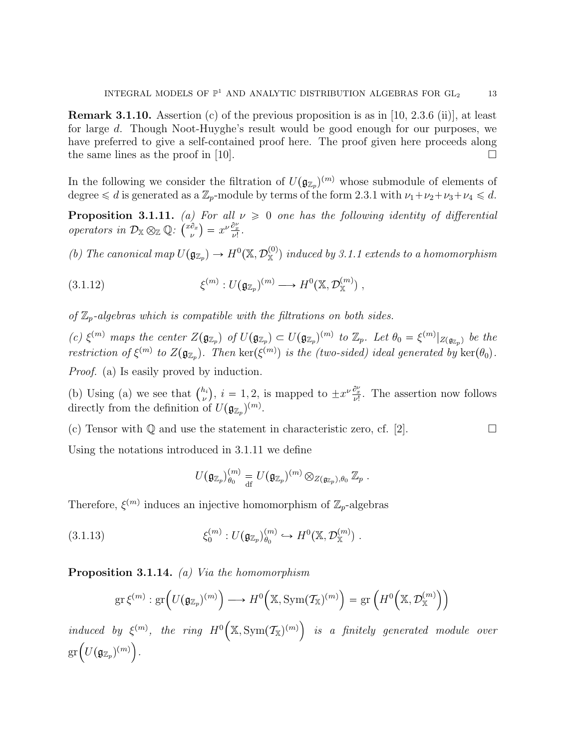**Remark 3.1.10.** Assertion (c) of the previous proposition is as in [10, 2.3.6 (ii)], at least for large d. Though Noot-Huyghe's result would be good enough for our purposes, we have preferred to give a self-contained proof here. The proof given here proceeds along the same lines as the proof in [10].  $\Box$ 

In the following we consider the filtration of  $U(\mathfrak{g}_{\mathbb{Z}_p})^{(m)}$  whose submodule of elements of degree  $\leq d$  is generated as a  $\mathbb{Z}_p$ -module by terms of the form 2.3.1 with  $\nu_1 + \nu_2 + \nu_3 + \nu_4 \leq d$ .

**Proposition 3.1.11.** (a) For all  $\nu \geq 0$  one has the following identity of differential operators in  $\mathcal{D}_{\mathbb{X}} \otimes_{\mathbb{Z}} \mathbb{Q}$ :  $\left(\begin{matrix} x\partial_x \\ u\end{matrix}\right)$  $\begin{pmatrix} \frac{\partial x}{\partial x} \end{pmatrix} = x^{\nu} \frac{\partial x}{\nu!}.$ 

(b) The canonical map  $U(\mathfrak{g}_{\mathbb{Z}_p}) \to H^0(\mathbb{X}, \mathcal{D}_{\mathbb{X}}^{(0)})$  induced by 3.1.1 extends to a homomorphism

(3.1.12) 
$$
\xi^{(m)}: U(\mathfrak{g}_{\mathbb{Z}_p})^{(m)} \longrightarrow H^0(\mathbb{X}, \mathcal{D}_{\mathbb{X}}^{(m)}) ,
$$

of  $\mathbb{Z}_p$ -algebras which is compatible with the filtrations on both sides.

(c)  $\xi^{(m)}$  maps the center  $Z(\mathfrak{g}_{\mathbb{Z}_p})$  of  $U(\mathfrak{g}_{\mathbb{Z}_p}) \subset U(\mathfrak{g}_{\mathbb{Z}_p})^{(m)}$  to  $\mathbb{Z}_p$ . Let  $\theta_0 = \xi^{(m)}|_{Z(\mathfrak{g}_{\mathbb{Z}_p})}$  be the restriction of  $\xi^{(m)}$  to  $Z(\mathfrak{g}_{\mathbb{Z}_p})$ . Then  $\ker(\xi^{(m)})$  is the (two-sided) ideal generated by  $\ker(\theta_0)$ . Proof. (a) Is easily proved by induction.

(b) Using (a) we see that  $\binom{h_i}{h_i}$  $(v_{\nu}^{h_i}), i = 1, 2$ , is mapped to  $\pm x^{\nu} \frac{\partial_x^{\nu}}{\nu!}$ . The assertion now follows directly from the definition of  $U(\mathfrak{g}_{\mathbb{Z}_p})^{(m)}$ .

(c) Tensor with  $\mathbb Q$  and use the statement in characteristic zero, cf. [2].

Using the notations introduced in 3.1.11 we define

$$
U(\mathfrak{g}_{\mathbb{Z}_p})_{\theta_0}^{(m)} = U(\mathfrak{g}_{\mathbb{Z}_p})^{(m)} \otimes_{Z(\mathfrak{g}_{\mathbb{Z}_p}),\theta_0} \mathbb{Z}_p.
$$

Therefore,  $\xi^{(m)}$  induces an injective homomorphism of  $\mathbb{Z}_p$ -algebras

(3.1.13) 
$$
\xi_0^{(m)}: U(\mathfrak{g}_{\mathbb{Z}_p})_{\theta_0}^{(m)} \hookrightarrow H^0(\mathbb{X}, \mathcal{D}_{\mathbb{X}}^{(m)}) .
$$

Proposition 3.1.14. *(a)* Via the homomorphism

$$
\mathrm{gr}\,\xi^{(m)}:\mathrm{gr}\Big(U(\mathfrak{g}_{\mathbb{Z}_p})^{(m)}\Big)\longrightarrow H^0\Big(\mathbb{X},\mathrm{Sym}(\mathcal{T}_{\mathbb{X}})^{(m)}\Big)=\mathrm{gr}\left(H^0\Big(\mathbb{X},\mathcal{D}_{\mathbb{X}}^{(m)}\Big)\right)
$$

induced by  $\xi^{(m)}$ , the ring  $H^0(\mathbb{X}, \text{Sym}(\mathcal{T}_{\mathbb{X}})^{(m)})$  is a finitely generated module over  $gr\left(U(\mathfrak{g}_{\mathbb{Z}_p})^{(m)}\right).$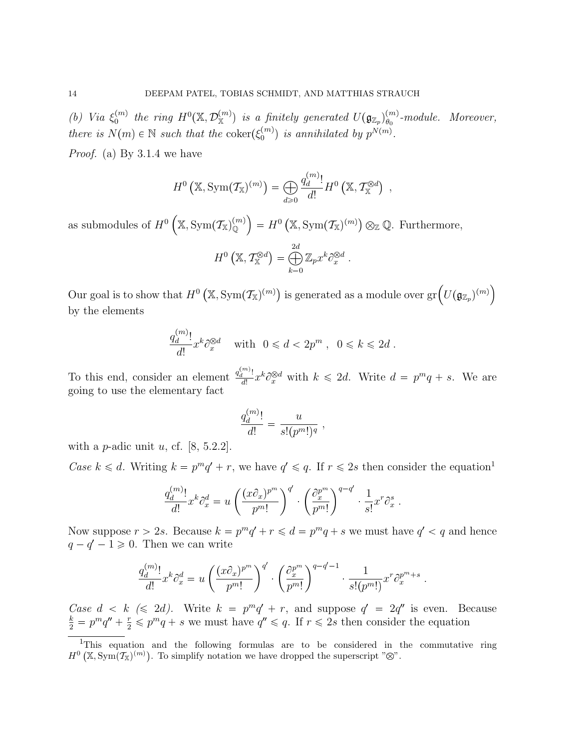(b) Via  $\xi_0^{(m)}$  $\hat{\theta}_0^{(m)}$  the ring  $H^0(\mathbb{X},\mathcal{D}^{(m)}_{\mathbb{X}})$  is a finitely generated  $U(\mathfrak{g}_{\mathbb{Z}_p})_{\theta_0}^{(m)}$  $\theta_0^{(m)}$ -module. Moreover, there is  $N(m) \in \mathbb{N}$  such that the coker $(\xi_0^{(m)})$  $p_0^{(m)}$  is annihilated by  $p^{N(m)}$ .

Proof. (a) By 3.1.4 we have

$$
H^{0}\left(\mathbb{X},\mathrm{Sym}(\mathcal{T}_{\mathbb{X}})^{(m)}\right)=\bigoplus_{d\geqslant 0}\frac{q_{d}^{(m)}!}{d!}H^{0}\left(\mathbb{X},\mathcal{T}_{\mathbb{X}}^{\otimes d}\right),
$$

as submodules of  $H^0\left(\mathbb{X}, \text{Sym}(\mathcal{T}_{\mathbb{X}})^{(m)}\right) = H^0\left(\mathbb{X}, \text{Sym}(\mathcal{T}_{\mathbb{X}})^{(m)}\right) \otimes_{\mathbb{Z}} \mathbb{Q}$ . Furthermore,

$$
H^{0}\left(\mathbb{X}, \mathcal{T}_{\mathbb{X}}^{\otimes d}\right) = \bigoplus_{k=0}^{2d} \mathbb{Z}_{p} x^{k} \partial_{x}^{\otimes d}.
$$

Our goal is to show that  $H^0(\mathbb{X}, \text{Sym}(\mathcal{T}_{\mathbb{X}})^{(m)})$  is generated as a module over  $\text{gr}\left(U(\mathfrak{g}_{\mathbb{Z}_p})^{(m)}\right)$ by the elements

$$
\frac{q_d^{(m)}}{d!} x^k \partial_x^{\otimes d} \quad \text{with} \quad 0 \leq d < 2p^m \;, \quad 0 \leq k \leq 2d \;.
$$

To this end, consider an element  $\frac{q_d^{(m)}!}{d!}$  $\frac{d}{dt} dx^k \partial_x^{\otimes d}$  with  $k \leq 2d$ . Write  $d = p^m q + s$ . We are going to use the elementary fact

$$
\frac{q_d^{(m)}!}{d!} = \frac{u}{s!(p^m!)^q},
$$

with a *p*-adic unit u, cf. [8, 5.2.2].

Case  $k \leq d$ . Writing  $k = p^m q' + r$ , we have  $q' \leq q$ . If  $r \leq 2s$  then consider the equation<sup>1</sup>

$$
\frac{q_d^{(m)}!}{d!} x^k \partial_x^d = u \left( \frac{(x \partial_x)^{p^m}}{p^m!} \right)^{q'} \cdot \left( \frac{\partial_x^{p^m}}{p^m!} \right)^{q-q'} \cdot \frac{1}{s!} x^r \partial_x^s.
$$

Now suppose  $r > 2s$ . Because  $k = p^m q' + r \leq d = p^m q + s$  we must have  $q' < q$  and hence  $q - q' - 1 \geq 0$ . Then we can write

$$
\frac{q_d^{(m)}}{d!} x^k \partial_x^d = u \left( \frac{(x \partial_x)^{p^m}}{p^m!} \right)^{q'} \cdot \left( \frac{\partial_x^{p^m}}{p^m!} \right)^{q-q'-1} \cdot \frac{1}{s!(p^m!)} x^r \partial_x^{p^m+s}.
$$

Case  $d < k \leq 2d$ . Write  $k = p^m q' + r$ , and suppose  $q' = 2q''$  is even. Because  $\frac{k}{2} = p^m q'' + \frac{r}{2} \leq p^m q + s$  we must have  $q'' \leq q$ . If  $r \leq 2s$  then consider the equation

<sup>&</sup>lt;sup>1</sup>This equation and the following formulas are to be considered in the commutative ring  $H^0(\mathbb{X}, \text{Sym}(\mathcal{T}_{\mathbb{X}})^{(m)})$ . To simplify notation we have dropped the superscript " $\mathbb{Y}$ ".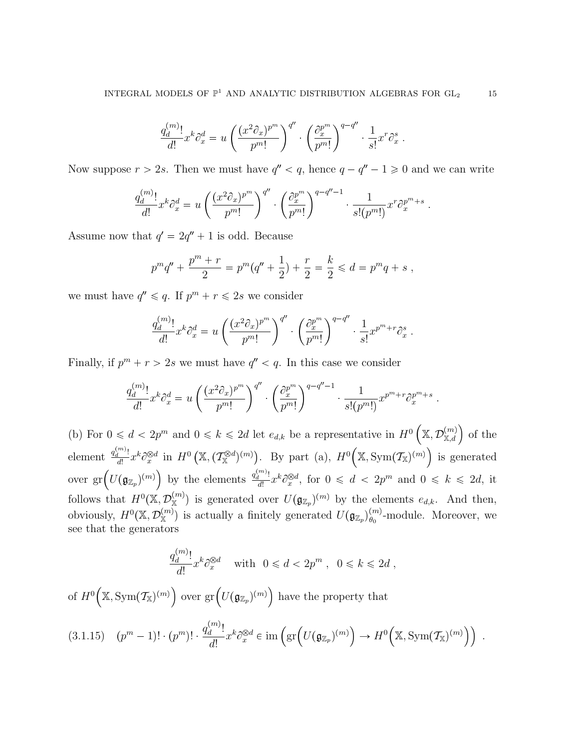$$
\frac{q_d^{(m)}}{d!} x^k \partial_x^d = u \left( \frac{(x^2 \partial_x)^{p^m}}{p^m!} \right)^{q''} \cdot \left( \frac{\partial_x^{p^m}}{p^m!} \right)^{q-q''} \cdot \frac{1}{s!} x^r \partial_x^s.
$$

Now suppose  $r > 2s$ . Then we must have  $q'' < q$ , hence  $q - q'' - 1 \geq 0$  and we can write

$$
\frac{q_d^{(m)}}{d!} x^k \partial_x^d = u \left( \frac{(x^2 \partial_x)^{p^m}}{p^m!} \right)^{q''} \cdot \left( \frac{\partial_x^{p^m}}{p^m!} \right)^{q-q''-1} \cdot \frac{1}{s!(p^m!)} x^r \partial_x^{p^m+s}.
$$

Assume now that  $q' = 2q'' + 1$  is odd. Because

$$
p^m q'' + \frac{p^m + r}{2} = p^m (q'' + \frac{1}{2}) + \frac{r}{2} = \frac{k}{2} \leq d = p^m q + s,
$$

we must have  $q'' \leq q$ . If  $p^m + r \leq 2s$  we consider

$$
\frac{q_d^{(m)}}{d!} x^k \partial_x^d = u \left( \frac{(x^2 \partial_x)^{p^m}}{p^m!} \right)^{q''} \cdot \left( \frac{\partial_x^{p^m}}{p^m!} \right)^{q-q''} \cdot \frac{1}{s!} x^{p^m+r} \partial_x^s.
$$

Finally, if  $p^m + r > 2s$  we must have  $q'' < q$ . In this case we consider

$$
\frac{q_d^{(m)}}{d!} x^k \partial_x^d = u \left( \frac{(x^2 \partial_x)^{p^m}}{p^m!} \right)^{q''} \cdot \left( \frac{\partial_x^{p^m}}{p^m!} \right)^{q-q''-1} \cdot \frac{1}{s!(p^m!)} x^{p^m+r} \partial_x^{p^m+s}.
$$

(b) For  $0 \leq d < 2p^m$  and  $0 \leq k \leq 2d$  let  $e_{d,k}$  be a representative in  $H^0\left(\mathbb{X}, \mathcal{D}_{\mathbb{X},d}^{(m)}\right)$  of the element  $\frac{q_d^{(m)}!}{d!}$  $\frac{d}{dt} \int_{d}^{m} x^{k} \partial_x^{\otimes d} \text{ in } H^{0}(\mathbb{X}, (\mathcal{T}_{\mathbb{X}}^{\otimes d})^{(m)})$ . By part (a),  $H^{0}(\mathbb{X}, \text{Sym}(\mathcal{T}_{\mathbb{X}})^{(m)})$  is generated over  $\mathrm{gr}\left( U(\mathfrak{g}_{\mathbb{Z}_p})^{(m)} \right)$  by the elements  $\frac{q_d^{(m)}!}{d!}$  $\frac{d}{dt} dx^k \partial_x^{\otimes d}$ , for  $0 \le d < 2p^m$  and  $0 \le k \le 2d$ , it follows that  $H^0(\mathbb{X}, \mathcal{D}_{\mathbb{X}}^{(m)})$  is generated over  $U(\mathfrak{g}_{\mathbb{Z}_p})^{(m)}$  by the elements  $e_{d,k}$ . And then, obviously,  $H^0(\mathbb{X}, \mathcal{D}_{\mathbb{X}}^{(m)})$  is actually a finitely generated  $U(\mathfrak{g}_{\mathbb{Z}_p})_{\theta_0}^{(m)}$  $\binom{m}{\theta_0}$ -module. Moreover, we see that the generators

$$
\frac{q_d^{(m)}}{d!} x^k \partial_x^{\otimes d} \quad \text{with} \quad 0 \leq d < 2p^m \;, \ \ 0 \leq k \leq 2d \;,
$$

of  $H^0(\mathbb{X}, \text{Sym}(\mathcal{T}_{\mathbb{X}})^{(m)})$  over  $\text{gr}\left(U(\mathfrak{g}_{\mathbb{Z}_p})^{(m)}\right)$  have the property that

$$
(3.1.15) \quad (p^m - 1)! \cdot (p^m)! \cdot \frac{q_d^{(m)}}{d!} x^k \partial_x^{\otimes d} \in \text{im} \left( \text{gr} \left( U(\mathfrak{g}_{\mathbb{Z}_p})^{(m)} \right) \to H^0 \left( \mathbb{X}, \text{Sym}(\mathcal{T}_{\mathbb{X}})^{(m)} \right) \right) \; .
$$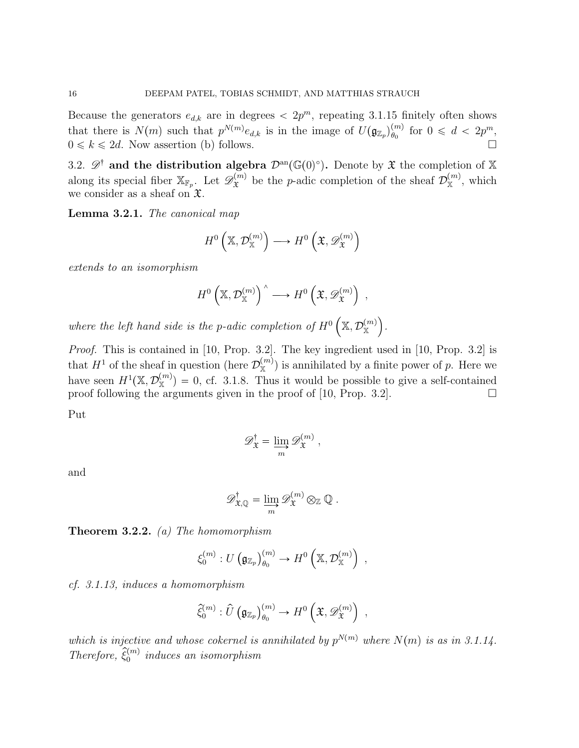Because the generators  $e_{d,k}$  are in degrees  $\langle 2p^m$ , repeating 3.1.15 finitely often shows that there is  $N(m)$  such that  $p^{N(m)}e_{d,k}$  is in the image of  $U(\mathfrak{g}_{\mathbb{Z}_p})_{\theta_0}^{(m)}$  $\begin{array}{c}\n(m) \\
\theta_0\n\end{array}$  for  $0 \leq d < 2p^m$ ,  $0 \leq k \leq 2d$ . Now assertion (b) follows.

3.2.  $\mathscr{D}^{\dagger}$  and the distribution algebra  $\mathcal{D}^{\text{an}}(\mathbb{G}(0)^{\circ})$ . Denote by  $\mathfrak{X}$  the completion of X along its special fiber  $\mathbb{X}_{\mathbb{F}_p}$ . Let  $\mathscr{D}_{\mathfrak{X}}^{(m)}$  $\mathbf{x}^{(m)}$  be the *p*-adic completion of the sheaf  $\mathcal{D}_{\mathbb{X}}^{(m)}$ , which we consider as a sheaf on  $\mathfrak{X}$ .

Lemma 3.2.1. The canonical map

$$
H^{0}\left(\mathbb{X},\mathcal{D}_{\mathbb{X}}^{(m)}\right)\longrightarrow H^{0}\left(\mathfrak{X},\mathscr{D}_{\mathfrak{X}}^{(m)}\right)
$$

extends to an isomorphism

$$
H^{0}\left(\mathbb{X},\mathcal{D}_{\mathbb{X}}^{(m)}\right)^{\wedge} \longrightarrow H^{0}\left(\mathfrak{X},\mathscr{D}_{\mathfrak{X}}^{(m)}\right) ,
$$

where the left hand side is the p-adic completion of  $H^0\left(\mathbb{X}, \mathcal{D}_{\mathbb{X}}^{(m)}\right)$ .

Proof. This is contained in [10, Prop. 3.2]. The key ingredient used in [10, Prop. 3.2] is that  $H^1$  of the sheaf in question (here  $\mathcal{D}_{\mathbb{X}}^{(m)}$ ) is annihilated by a finite power of p. Here we have seen  $H^1(\mathbb{X}, \mathcal{D}_{\mathbb{X}}^{(m)}) = 0$ , cf. 3.1.8. Thus it would be possible to give a self-contained proof following the arguments given in the proof of [10, Prop. 3.2].  $\Box$ 

Put

$$
\mathscr{D}_{\mathfrak{X}}^{\dagger} = \varinjlim_{m} \mathscr{D}_{\mathfrak{X}}^{(m)},
$$

and

$$
\mathscr{D}^{\dagger}_{\mathfrak{X},\mathbb{Q}} = \varinjlim_{m} \mathscr{D}^{(m)}_{\mathfrak{X}} \otimes_{\mathbb{Z}} \mathbb{Q} .
$$

**Theorem 3.2.2.** (a) The homomorphism

$$
\xi_0^{(m)}: U\left(\mathfrak{g}_{\mathbb{Z}_p}\right)_{\theta_0}^{(m)} \to H^0\left(\mathbb{X}, \mathcal{D}_{\mathbb{X}}^{(m)}\right) ,
$$

cf. 3.1.13, induces a homomorphism

$$
\widehat{\xi}_0^{(m)}: \widehat{U}\left(\mathfrak{g}_{\mathbb{Z}_p}\right)_{\theta_0}^{(m)} \to H^0\left(\mathfrak{X}, \mathscr{D}_{\mathfrak{X}}^{(m)}\right) ,
$$

which is injective and whose cokernel is annihilated by  $p^{N(m)}$  where  $N(m)$  is as in 3.1.14. Therefore,  $\hat{\xi}_0^{(m)}$  induces an isomorphism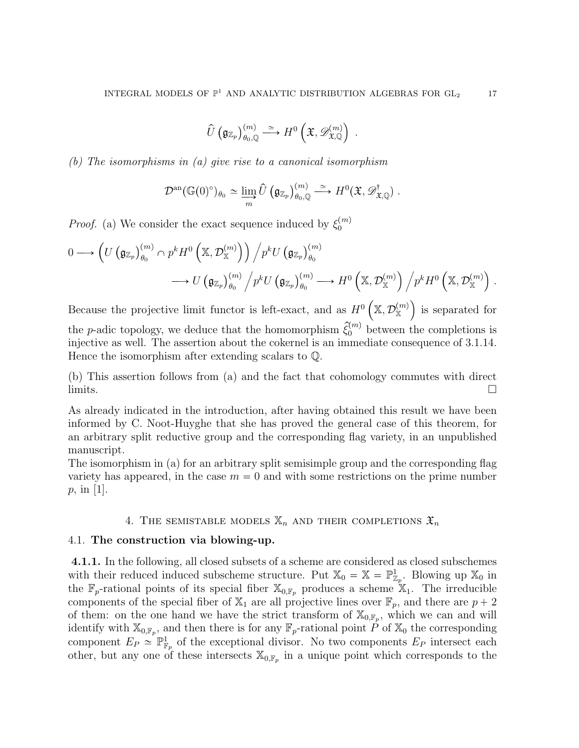$$
\widehat{U}\left(\mathfrak{g}_{\mathbb{Z}_p}\right)_{\theta_0,\mathbb{Q}}^{(m)} \stackrel{\simeq}{\longrightarrow} H^0\left(\mathfrak{X},\mathscr{D}_{\mathfrak{X},\mathbb{Q}}^{(m)}\right) .
$$

(b) The isomorphisms in (a) give rise to a canonical isomorphism

$$
\mathcal{D}^{\mathrm{an}}(\mathbb{G}(0)^{\circ})_{\theta_0} \simeq \varinjlim_{m} \widehat{U}\left(\mathfrak{g}_{\mathbb{Z}_p}\right)_{\theta_0,\mathbb{Q}}^{(m)} \xrightarrow{\simeq} H^0(\mathfrak{X},\mathscr{D}^{\dagger}_{\mathfrak{X},\mathbb{Q}}).
$$

*Proof.* (a) We consider the exact sequence induced by  $\xi_0^{(m)}$ 0

$$
0 \longrightarrow \left(U\left(\mathfrak{g}_{\mathbb{Z}_p}\right)_{\theta_0}^{(m)} \cap p^k H^0\left(\mathbb{X}, \mathcal{D}_{\mathbb{X}}^{(m)}\right)\right) \Big/p^k U\left(\mathfrak{g}_{\mathbb{Z}_p}\right)_{\theta_0}^{(m)}
$$
  

$$
\longrightarrow U\left(\mathfrak{g}_{\mathbb{Z}_p}\right)_{\theta_0}^{(m)} \Big/p^k U\left(\mathfrak{g}_{\mathbb{Z}_p}\right)_{\theta_0}^{(m)} \longrightarrow H^0\left(\mathbb{X}, \mathcal{D}_{\mathbb{X}}^{(m)}\right) \Big/p^k H^0\left(\mathbb{X}, \mathcal{D}_{\mathbb{X}}^{(m)}\right).
$$

Because the projective limit functor is left-exact, and as  $H^0\left(\mathbb{X}, \mathcal{D}_{\mathbb{X}}^{(m)}\right)$  is separated for the *p*-adic topology, we deduce that the homomorphism  $\hat{\xi}_0^{(m)}$  between the completions is injective as well. The assertion about the cokernel is an immediate consequence of 3.1.14. Hence the isomorphism after extending scalars to Q.

(b) This assertion follows from (a) and the fact that cohomology commutes with direct  $\overline{\text{limits}}$ .

As already indicated in the introduction, after having obtained this result we have been informed by C. Noot-Huyghe that she has proved the general case of this theorem, for an arbitrary split reductive group and the corresponding flag variety, in an unpublished manuscript.

The isomorphism in (a) for an arbitrary split semisimple group and the corresponding flag variety has appeared, in the case  $m = 0$  and with some restrictions on the prime number p, in [1].

# 4. THE SEMISTABLE MODELS  $\mathbb{X}_n$  and their completions  $\mathfrak{X}_n$

### 4.1. The construction via blowing-up.

4.1.1. In the following, all closed subsets of a scheme are considered as closed subschemes with their reduced induced subscheme structure. Put  $\mathbb{X}_0 = \mathbb{X} = \mathbb{P}^1_{\mathbb{Z}_p}$ . Blowing up  $\mathbb{X}_0$  in the  $\mathbb{F}_p$ -rational points of its special fiber  $\mathbb{X}_{0,\mathbb{F}_p}$  produces a scheme  $\mathbb{X}_1$ . The irreducible components of the special fiber of  $\mathbb{X}_1$  are all projective lines over  $\mathbb{F}_p$ , and there are  $p + 2$ of them: on the one hand we have the strict transform of  $\mathbb{X}_{0,\mathbb{F}_p}$ , which we can and will identify with  $\mathbb{X}_{0,\mathbb{F}_p}$ , and then there is for any  $\mathbb{F}_p$ -rational point P of  $\mathbb{X}_0$  the corresponding component  $E_P \cong \mathbb{P}^1_{\mathbb{F}_p}$  of the exceptional divisor. No two components  $E_P$  intersect each other, but any one of these intersects  $\mathbb{X}_{0,\mathbb{F}_p}$  in a unique point which corresponds to the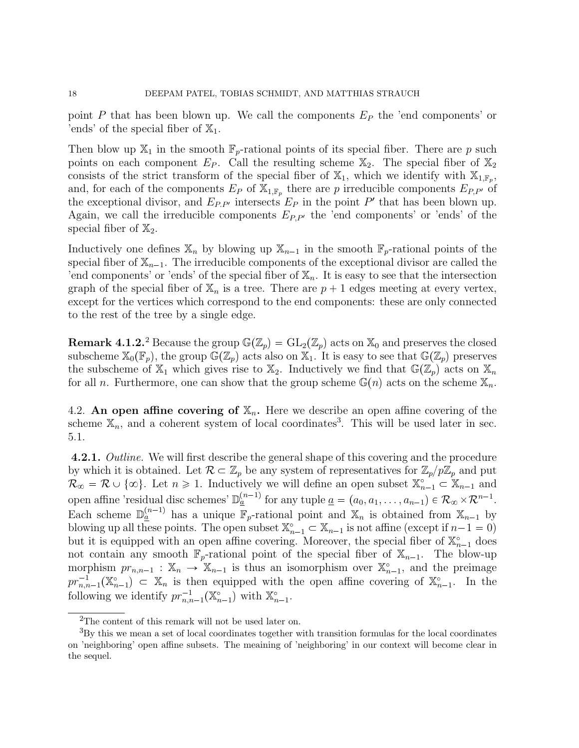point P that has been blown up. We call the components  $E_P$  the 'end components' or 'ends' of the special fiber of  $\mathbb{X}_1$ .

Then blow up  $\mathbb{X}_1$  in the smooth  $\mathbb{F}_p$ -rational points of its special fiber. There are p such points on each component  $E_P$ . Call the resulting scheme  $\mathbb{X}_2$ . The special fiber of  $\mathbb{X}_2$ consists of the strict transform of the special fiber of  $\mathbb{X}_1$ , which we identify with  $\mathbb{X}_{1,\mathbb{F}_p}$ , and, for each of the components  $E_P$  of  $\mathbb{X}_{1,\mathbb{F}_p}$  there are p irreducible components  $E_{P,P'}$  of the exceptional divisor, and  $E_{P,P'}$  intersects  $E_P$  in the point  $P'$  that has been blown up. Again, we call the irreducible components  $E_{P,P'}$  the 'end components' or 'ends' of the special fiber of  $\mathbb{X}_2$ .

Inductively one defines  $\mathbb{X}_n$  by blowing up  $\mathbb{X}_{n-1}$  in the smooth  $\mathbb{F}_p$ -rational points of the special fiber of  $\mathbb{X}_{n-1}$ . The irreducible components of the exceptional divisor are called the 'end components' or 'ends' of the special fiber of  $\mathbb{X}_n$ . It is easy to see that the intersection graph of the special fiber of  $\mathbb{X}_n$  is a tree. There are  $p + 1$  edges meeting at every vertex, except for the vertices which correspond to the end components: these are only connected to the rest of the tree by a single edge.

**Remark 4.1.2.**<sup>2</sup> Because the group  $\mathbb{G}(\mathbb{Z}_p) = GL_2(\mathbb{Z}_p)$  acts on  $\mathbb{X}_0$  and preserves the closed subscheme  $\mathbb{X}_0(\mathbb{F}_p)$ , the group  $\mathbb{G}(\mathbb{Z}_p)$  acts also on  $\mathbb{X}_1$ . It is easy to see that  $\mathbb{G}(\mathbb{Z}_p)$  preserves the subscheme of  $\mathbb{X}_1$  which gives rise to  $\mathbb{X}_2$ . Inductively we find that  $\mathbb{G}(\mathbb{Z}_p)$  acts on  $\mathbb{X}_n$ for all *n*. Furthermore, one can show that the group scheme  $\mathbb{G}(n)$  acts on the scheme  $\mathbb{X}_n$ .

4.2. An open affine covering of  $\mathbb{X}_n$ . Here we describe an open affine covering of the scheme  $\mathbb{X}_n$ , and a coherent system of local coordinates<sup>3</sup>. This will be used later in sec. 5.1.

4.2.1. Outline. We will first describe the general shape of this covering and the procedure by which it is obtained. Let  $\mathcal{R} \subset \mathbb{Z}_p$  be any system of representatives for  $\mathbb{Z}_p/p\mathbb{Z}_p$  and put  $\mathcal{R}_{\infty} = \mathcal{R} \cup \{\infty\}$ . Let  $n \geq 1$ . Inductively we will define an open subset  $\mathbb{X}_{n-1}^{\circ} \subset \mathbb{X}_{n-1}$  and open affine 'residual disc schemes'  $\mathbb{D}_{\underline{a}}^{(n-1)}$  for any tuple  $\underline{a} = (a_0, a_1, \ldots, a_{n-1}) \in \mathcal{R}_{\infty} \times \mathcal{R}^{n-1}$ . Each scheme  $\mathbb{D}_{a}^{(n-1)}$  has a unique  $\mathbb{F}_p$ -rational point and  $\mathbb{X}_n$  is obtained from  $\mathbb{X}_{n-1}$  by blowing up all these points. The open subset  $\mathbb{X}_{n-1}^{\circ} \subset \mathbb{X}_{n-1}$  is not affine (except if  $n-1 = 0$ ) but it is equipped with an open affine covering. Moreover, the special fiber of  $\mathbb{X}_{n-1}^{\circ}$  does not contain any smooth  $\mathbb{F}_p$ -rational point of the special fiber of  $\mathbb{X}_{n-1}$ . The blow-up morphism  $pr_{n,n-1} : \mathbb{X}_n \to \mathbb{X}_{n-1}$  is thus an isomorphism over  $\mathbb{X}_{n-1}^{\circ}$ , and the preimage  $pr_{n,n-1}^{-1}(\mathbb{X}_{n-1}^{\circ}) \subset \mathbb{X}_n$  is then equipped with the open affine covering of  $\mathbb{X}_{n-1}^{\circ}$ . In the following we identify  $pr_{n,n-1}^{-1}(\mathbb{X}_{n-1}^{\circ})$  with  $\mathbb{X}_{n-1}^{\circ}$ .

<sup>&</sup>lt;sup>2</sup>The content of this remark will not be used later on.

<sup>3</sup>By this we mean a set of local coordinates together with transition formulas for the local coordinates on 'neighboring' open affine subsets. The meaining of 'neighboring' in our context will become clear in the sequel.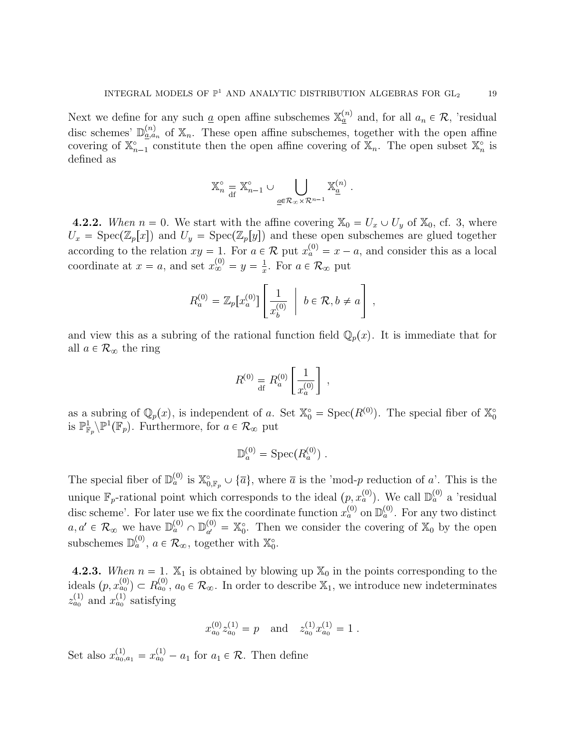Next we define for any such <u>a</u> open affine subschemes  $\mathbb{X}_{\underline{a}}^{(n)}$  and, for all  $a_n \in \mathcal{R}$ , 'residual disc schemes'  $\mathbb{D}_{a,a_n}^{(n)}$  of  $\mathbb{X}_n$ . These open affine subschemes, together with the open affine covering of  $\mathbb{X}_{n-1}^{\circ}$  constitute then the open affine covering of  $\mathbb{X}_n$ . The open subset  $\mathbb{X}_n^{\circ}$  is defined as

$$
\mathbb{X}_n^\circ = \mathbb{X}_{n-1}^\circ \cup \bigcup_{\underline{a} \in \mathcal{R}_\infty \times \mathcal{R}^{n-1}} \mathbb{X}_{\underline{a}}^{(n)} \ .
$$

**4.2.2.** When  $n = 0$ . We start with the affine covering  $\mathbb{X}_0 = U_x \cup U_y$  of  $\mathbb{X}_0$ , cf. 3, where  $U_x = \text{Spec}(\mathbb{Z}_p[x])$  and  $U_y = \text{Spec}(\mathbb{Z}_p[y])$  and these open subschemes are glued together according to the relation  $xy = 1$ . For  $a \in \mathcal{R}$  put  $x_a^{(0)} = x - a$ , and consider this as a local coordinate at  $x = a$ , and set  $x_{\infty}^{(0)} = y = \frac{1}{x}$  $\frac{1}{x}$ . For  $a \in \mathcal{R}_{\infty}$  put

$$
R_a^{(0)} = \mathbb{Z}_p[x_a^{(0)}] \left[ \frac{1}{x_b^{(0)}} \middle| b \in \mathcal{R}, b \neq a \right],
$$

and view this as a subring of the rational function field  $\mathbb{Q}_p(x)$ . It is immediate that for all  $a \in \mathcal{R}_{\infty}$  the ring

$$
R^{(0)} = R_a^{(0)} \left[ \frac{1}{x_a^{(0)}} \right] ,
$$

as a subring of  $\mathbb{Q}_p(x)$ , is independent of a. Set  $\mathbb{X}_0^{\circ} = \text{Spec}(R^{(0)})$ . The special fiber of  $\mathbb{X}_0^{\circ}$ is  $\mathbb{P}^1_{\mathbb{F}_p}\backslash\mathbb{P}^1(\mathbb{F}_p)$ . Furthermore, for  $a \in \mathcal{R}_{\infty}$  put

$$
\mathbb{D}_a^{(0)} = \operatorname{Spec}(R_a^{(0)}) .
$$

The special fiber of  $\mathbb{D}_{a}^{(0)}$  is  $\mathbb{X}_{0,\mathbb{F}_p}^{\circ} \cup \{\overline{a}\}\,$ , where  $\overline{a}$  is the 'mod-p reduction of a'. This is the unique  $\mathbb{F}_p$ -rational point which corresponds to the ideal  $(p, x_a^{(0)})$ . We call  $\mathbb{D}_a^{(0)}$  a 'residual disc scheme'. For later use we fix the coordinate function  $x_a^{(0)}$  on  $\mathbb{D}_a^{(0)}$ . For any two distinct  $a, a' \in \mathcal{R}_{\infty}$  we have  $\mathbb{D}_{a}^{(0)} \cap \mathbb{D}_{a'}^{(0)}$  $a'_{a'} = \mathbb{X}_0^{\circ}$ . Then we consider the covering of  $\mathbb{X}_0$  by the open subschemes  $\mathbb{D}_a^{(0)}$ ,  $a \in \mathcal{R}_{\infty}$ , together with  $\mathbb{X}_0^{\circ}$ .

**4.2.3.** When  $n = 1$ .  $\mathbb{X}_1$  is obtained by blowing up  $\mathbb{X}_0$  in the points corresponding to the ideals  $(p, x_{a_0}^{(0)}) \subset R_{a_0}^{(0)}$ ,  $a_0 \in \mathcal{R}_{\infty}$ . In order to describe  $\mathbb{X}_1$ , we introduce new indeterminates  $z_{a_0}^{(1)}$  and  $x_{a_0}^{(1)}$  satisfying

$$
x_{a_0}^{(0)} z_{a_0}^{(1)} = p \quad \text{and} \quad z_{a_0}^{(1)} x_{a_0}^{(1)} = 1.
$$

Set also  $x_{a_0, a_1}^{(1)} = x_{a_0}^{(1)} - a_1$  for  $a_1 \in \mathcal{R}$ . Then define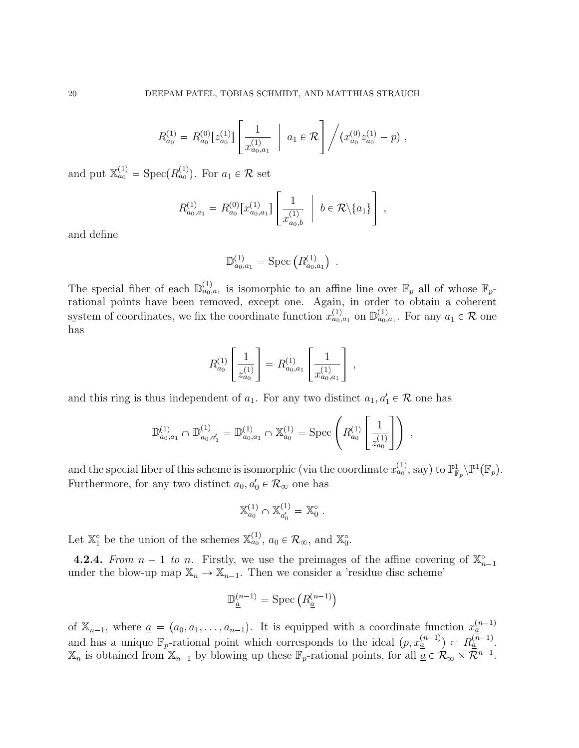$$
R_{a_0}^{(1)} = R_{a_0}^{(0)} \left[ z_{a_0}^{(1)} \right] \left[ \frac{1}{x_{a_0, a_1}^{(1)}} \middle| a_1 \in \mathcal{R} \right] / \left( x_{a_0}^{(0)} z_{a_0}^{(1)} - p \right),
$$

and put  $\mathbb{X}_{a_0}^{(1)} = \text{Spec}(R_{a_0}^{(1)})$ . For  $a_1 \in \mathcal{R}$  set

$$
R^{(1)}_{a_0,a_1} = R^{(0)}_{a_0}[x^{(1)}_{a_0,a_1}] \left[ \frac{1}{x^{(1)}_{a_0,b}} \middle| b \in \mathcal{R} \backslash \{a_1\} \right]
$$

,

and define

$$
\mathbb{D}_{a_0,a_1}^{(1)} = \text{Spec} \left( R_{a_0,a_1}^{(1)} \right) \ .
$$

The special fiber of each  $\mathbb{D}_{a_0,a_1}^{(1)}$  is isomorphic to an affine line over  $\mathbb{F}_p$  all of whose  $\mathbb{F}_p$ rational points have been removed, except one. Again, in order to obtain a coherent system of coordinates, we fix the coordinate function  $x_{a_0,a_1}^{(1)}$  on  $\mathbb{D}_{a_0,a_1}^{(1)}$ . For any  $a_1 \in \mathcal{R}$  one has

$$
R_{a_0}^{(1)} \left[ \frac{1}{z_{a_0}^{(1)}} \right] = R_{a_0, a_1}^{(1)} \left[ \frac{1}{x_{a_0, a_1}^{(1)}} \right] ,
$$

and this ring is thus independent of  $a_1$ . For any two distinct  $a_1, a'_1 \in \mathcal{R}$  one has

$$
\mathbb{D}_{a_0,a_1}^{(1)} \cap \mathbb{D}_{a_0,a_1'}^{(1)} = \mathbb{D}_{a_0,a_1}^{(1)} \cap \mathbb{X}_{a_0}^{(1)} = \text{Spec}\left(R_{a_0}^{(1)}\left[\frac{1}{z_{a_0}^{(1)}}\right]\right) ,
$$

and the special fiber of this scheme is isomorphic (via the coordinate  $x_{a_0}^{(1)}$ , say) to  $\mathbb{P}^1_{\mathbb{F}_p}\backslash\mathbb{P}^1(\mathbb{F}_p)$ . Furthermore, for any two distinct  $a_0, a'_0 \in \mathcal{R}_{\infty}$  one has

$$
\mathbb{X}_{a_0}^{(1)} \cap \mathbb{X}_{a'_0}^{(1)} = \mathbb{X}_0^{\circ} .
$$

Let  $\mathbb{X}_{1}^{\circ}$  be the union of the schemes  $\mathbb{X}_{a_0}^{(1)}$ ,  $a_0 \in \mathcal{R}_{\infty}$ , and  $\mathbb{X}_{0}^{\circ}$ .

**4.2.4.** From  $n-1$  to n. Firstly, we use the preimages of the affine covering of  $\mathbb{X}_{n-1}^{\circ}$ under the blow-up map  $\mathbb{X}_n \to \mathbb{X}_{n-1}$ . Then we consider a 'residue disc scheme'

$$
\mathbb{D}_{\underline{a}}^{(n-1)} = \text{Spec}\left(R_{\underline{a}}^{(n-1)}\right)
$$

of  $\mathbb{X}_{n-1}$ , where  $\underline{a} = (a_0, a_1, \ldots, a_{n-1})$ . It is equipped with a coordinate function  $x_{\underline{a}}^{(n-1)}$ and has a unique  $\mathbb{F}_p$ -rational point which corresponds to the ideal  $(p, x_{\underline{a}}^{(n-1)}) \subset R_{\underline{a}}^{(n-1)}$ .  $\mathbb{X}_n$  is obtained from  $\mathbb{X}_{n-1}$  by blowing up these  $\mathbb{F}_p$ -rational points, for all  $\mathbb{Z}_p \in \mathcal{R}_{\infty} \times \mathbb{R}^{n-1}$ .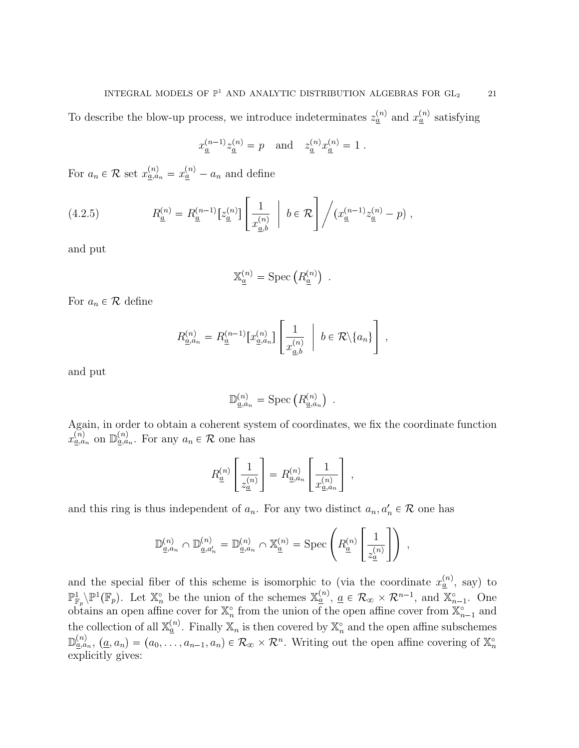To describe the blow-up process, we introduce indeterminates  $z_{\underline{a}}^{(n)}$  and  $x_{\underline{a}}^{(n)}$  satisfying

$$
x_{\underline{a}}^{(n-1)} z_{\underline{a}}^{(n)} = p \quad \text{and} \quad z_{\underline{a}}^{(n)} x_{\underline{a}}^{(n)} = 1.
$$

For  $a_n \in \mathcal{R}$  set  $x_{a,a_n}^{(n)} = x_a^{(n)} - a_n$  and define

(4.2.5) 
$$
R_{\underline{a}}^{(n)} = R_{\underline{a}}^{(n-1)} [z_{\underline{a}}^{(n)}] \left[ \frac{1}{x_{\underline{a},b}^{(n)}} \ \middle| \ b \in \mathcal{R} \right] / (x_{\underline{a}}^{(n-1)} z_{\underline{a}}^{(n)} - p) ,
$$

and put

$$
\mathbb{X}_{\underline{a}}^{(n)} = \text{Spec}\left(R_{\underline{a}}^{(n)}\right) \ .
$$

For  $a_n \in \mathcal{R}$  define

$$
R_{\underline{a},a_n}^{(n)} = R_{\underline{a}}^{(n-1)} [x_{\underline{a},a_n}^{(n)}] \left[ \frac{1}{x_{\underline{a},b}^{(n)}} \ \bigg\vert \ b \in \mathcal{R} \backslash \{a_n\} \right],
$$

and put

$$
\mathbb{D}_{\underline{a},a_n}^{(n)} = \text{Spec}\left(R_{\underline{a},a_n}^{(n)}\right) \ .
$$

Again, in order to obtain a coherent system of coordinates, we fix the coordinate function  $x_{\underline{a},a_n}^{(n)}$  on  $\mathbb{D}_{\underline{a},a_n}^{(n)}$ . For any  $a_n \in \mathcal{R}$  one has

$$
R_{\underline{a}}^{(n)}\left[\frac{1}{z_{\underline{a}}^{(n)}}\right] = R_{\underline{a},a_n}^{(n)}\left[\frac{1}{x_{\underline{a},a_n}^{(n)}}\right],
$$

and this ring is thus independent of  $a_n$ . For any two distinct  $a_n, a'_n \in \mathcal{R}$  one has

$$
\mathbb{D}^{(n)}_{\underline{a},a_n}\cap\mathbb{D}^{(n)}_{\underline{a},a_n'}=\mathbb{D}^{(n)}_{\underline{a},a_n}\cap\mathbb{X}^{(n)}_{\underline{a}}=\mathrm{Spec}\left(R^{(n)}_{\underline{a}}\left[\frac{1}{z^{(n)}_{\underline{a}}}\right]\right)\;,
$$

and the special fiber of this scheme is isomorphic to (via the coordinate  $x_a^{(n)}$ , say) to  $\mathbb{P}^1_{\mathbb{F}_p}\backslash\mathbb{P}^1(\mathbb{F}_p)$ . Let  $\mathbb{X}_n^{\circ}$  be the union of the schemes  $\mathbb{X}_{\underline{a}}^{(n)}$ ,  $\underline{a} \in \mathcal{R}_{\infty} \times \mathcal{R}^{n-1}$ , and  $\mathbb{X}_{n-1}^{\circ}$ . One obtains an open affine cover for  $\mathbb{X}_n^{\circ}$  from the union of the open affine cover from  $\mathbb{X}_{n-1}^{\circ}$  and the collection of all  $\mathbb{X}_a^{(n)}$ . Finally  $\mathbb{X}_n$  is then covered by  $\mathbb{X}_n^{\circ}$  and the open affine subschemes  $\mathbb{D}_{\underline{a},a_n}^{(n)}$ ,  $(\underline{a},a_n)=(a_0,\ldots,a_{n-1},a_n)\in\mathcal{R}_{\infty}\times\mathcal{R}^n$ . Writing out the open affine covering of  $\mathbb{X}_n^{\circ}$ explicitly gives: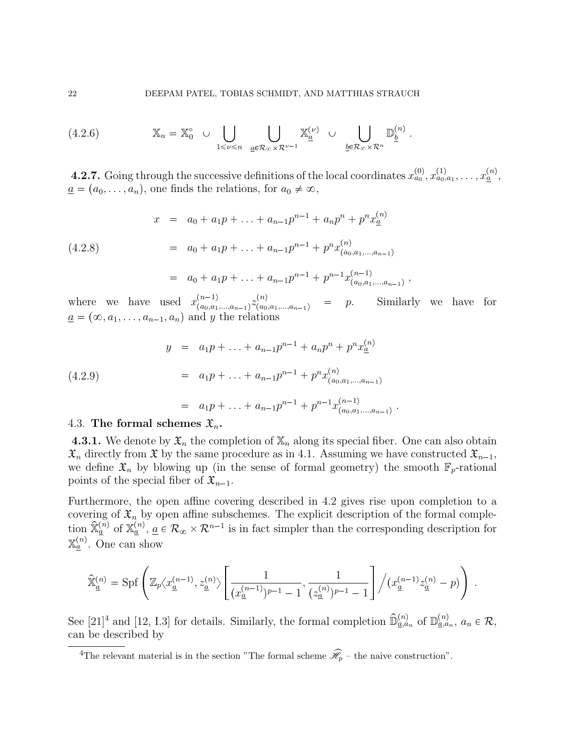(4.2.6) 
$$
\mathbb{X}_n = \mathbb{X}_0^{\circ} \cup \bigcup_{1 \leq \nu \leq n} \bigcup_{\underline{a} \in \mathcal{R}_{\infty} \times \mathcal{R}^{\nu-1}} \mathbb{X}_{\underline{a}}^{(\nu)} \cup \bigcup_{\underline{b} \in \mathcal{R}_{\infty} \times \mathcal{R}^n} \mathbb{D}_{\underline{b}}^{(n)}.
$$

**4.2.7.** Going through the successive definitions of the local coordinates  $x_{a_0}^{(0)}, x_{a_0,a_1}^{(1)}, \ldots, x_{\underline{a}}^{(n)}$  $\underline{a} = (a_0, \ldots, a_n)$ , one finds the relations, for  $a_0 \neq \infty$ ,

(4.2.8) 
$$
x = a_0 + a_1 p + \ldots + a_{n-1} p^{n-1} + a_n p^n + p^n x_{\underline{a}}^{(n)}
$$

$$
= a_0 + a_1 p + \ldots + a_{n-1} p^{n-1} + p^n x_{(a_0, a_1, \ldots, a_{n-1})}^{(n)}
$$

$$
= a_0 + a_1 p + \ldots + a_{n-1} p^{n-1} + p^{n-1} x_{(a_0, a_1, \ldots, a_{n-1})}^{(n-1)},
$$

where we have used  $x_{(a_0,a_1)}^{(n-1)}$  $\binom{n-1}{(a_0,a_1,\ldots,a_{n-1})} z^{(n)}_{(a_0)}$  $p.$  Similarly we have for  $\underline{a} = (\infty, a_1, \ldots, a_{n-1}, a_n)$  and y the relations

(4.2.9)  
\n
$$
y = a_1 p + \dots + a_{n-1} p^{n-1} + a_n p^n + p^n x_{\underline{a}}^{(n)}
$$
\n
$$
= a_1 p + \dots + a_{n-1} p^{n-1} + p^n x_{(a_0, a_1, \dots, a_{n-1})}^{(n)}
$$
\n
$$
= a_1 p + \dots + a_{n-1} p^{n-1} + p^{n-1} x_{(a_0, a_1, \dots, a_{n-1})}^{(n-1)}.
$$

### 4.3. The formal schemes  $\mathfrak{X}_n$ .

**4.3.1.** We denote by  $\mathfrak{X}_n$  the completion of  $\mathbb{X}_n$  along its special fiber. One can also obtain  $\mathfrak{X}_n$  directly from  $\mathfrak{X}$  by the same procedure as in 4.1. Assuming we have constructed  $\mathfrak{X}_{n-1}$ , we define  $\mathfrak{X}_n$  by blowing up (in the sense of formal geometry) the smooth  $\mathbb{F}_p$ -rational points of the special fiber of  $\mathfrak{X}_{n-1}$ .

Furthermore, the open affine covering described in 4.2 gives rise upon completion to a covering of  $\mathfrak{X}_n$  by open affine subschemes. The explicit description of the formal completion  $\hat{\mathbb{X}}_{\underline{a}}^{(n)}$  of  $\mathbb{X}_{\underline{a}}^{(n)}$ ,  $\underline{a} \in \mathcal{R}_{\infty} \times \mathcal{R}^{n-1}$  is in fact simpler than the corresponding description for  $\mathbb{X}_{\underline{a}}^{(n)}$ . One can show

$$
\hat{{\mathbb X}}^{(n)}_{\underline{a}} = {\rm Spf} \left( {\mathbb Z}_p \langle x^{(n-1)}_{\underline{a}}, z^{(n)}_{\underline{a}} \rangle \left[ \frac{1}{(x^{(n-1)}_{\underline{a}})^{p-1} - 1}, \frac{1}{(z^{(n)}_{\underline{a}})^{p-1} - 1} \right] \Big/ (x^{(n-1)}_{\underline{a}} z^{(n)}_{\underline{a}} - p ) \right) \ .
$$

See  $[21]^4$  and  $[12, 1.3]$  for details. Similarly, the formal completion  $\widehat{\mathbb{D}}_{\underline{a},a_n}^{(n)}$  of  $\mathbb{D}_{\underline{a},a_n}^{(n)}$ ,  $a_n \in \mathcal{R}$ , can be described by

<sup>&</sup>lt;sup>4</sup>The relevant material is in the section "The formal scheme  $\widehat{\mathscr{H}}_p$  – the naive construction".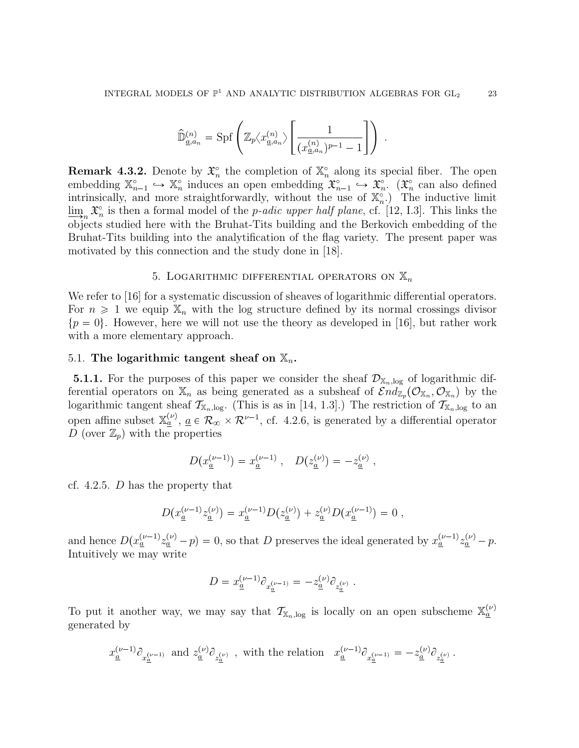$$
\widehat{\mathbb{D}}_{\underline{a},a_n}^{(n)} = \text{Spf}\left(\mathbb{Z}_p\big\langle x_{\underline{a},a_n}^{(n)}\big\rangle \left[\frac{1}{(x_{\underline{a},a_n}^{(n)})^{p-1}-1}\right]\right) \ .
$$

**Remark 4.3.2.** Denote by  $\mathfrak{X}_n^{\circ}$  the completion of  $\mathbb{X}_n^{\circ}$  along its special fiber. The open embedding  $\mathbb{X}_{n-1}^{\circ} \hookrightarrow \mathbb{X}_{n}^{\circ}$  induces an open embedding  $\mathfrak{X}_{n-1}^{\circ} \hookrightarrow \mathfrak{X}_{n}^{\circ}$ . ( $\mathfrak{X}_{n}^{\circ}$  can also defined intrinsically, and more straightforwardly, without the use of  $\mathbb{X}_n^{\circ}$ . The inductive limit  $\lim_{n \to \infty} \mathfrak{X}_n^{\circ}$  is then a formal model of the *p-adic upper half plane*, cf. [12, I.3]. This links the objects studied here with the Bruhat-Tits building and the Berkovich embedding of the Bruhat-Tits building into the analytification of the flag variety. The present paper was motivated by this connection and the study done in [18].

## 5. LOGARITHMIC DIFFERENTIAL OPERATORS ON  $\mathbb{X}_n$

We refer to [16] for a systematic discussion of sheaves of logarithmic differential operators. For  $n \geq 1$  we equip  $\mathbb{X}_n$  with the log structure defined by its normal crossings divisor  $\{p = 0\}$ . However, here we will not use the theory as developed in [16], but rather work with a more elementary approach.

#### 5.1. The logarithmic tangent sheaf on  $\mathbb{X}_n$ .

**5.1.1.** For the purposes of this paper we consider the sheaf  $\mathcal{D}_{X_n,\text{log}}$  of logarithmic differential operators on  $\mathbb{X}_n$  as being generated as a subsheaf of  $\mathcal{E}nd_{\mathbb{Z}_p}(\mathcal{O}_{\mathbb{X}_n}, \mathcal{O}_{\mathbb{X}_n})$  by the logarithmic tangent sheaf  $\mathcal{T}_{\mathbb{X}_n,\log}$ . (This is as in [14, 1.3].) The restriction of  $\mathcal{T}_{\mathbb{X}_n,\log}$  to an open affine subset  $\mathbb{X}_{\underline{a}}^{(\nu)}$ ,  $\underline{a} \in \mathcal{R}_{\infty} \times \mathcal{R}^{\nu-1}$ , cf. 4.2.6, is generated by a differential operator D (over  $\mathbb{Z}_p$ ) with the properties

$$
D(x_{\underline{a}}^{(\nu-1)}) = x_{\underline{a}}^{(\nu-1)} , \quad D(z_{\underline{a}}^{(\nu)}) = -z_{\underline{a}}^{(\nu)} ,
$$

cf. 4.2.5. D has the property that

$$
D(x_{\underline{a}}^{(\nu-1)}z_{\underline{a}}^{(\nu)})=x_{\underline{a}}^{(\nu-1)}D(z_{\underline{a}}^{(\nu)})+z_{\underline{a}}^{(\nu)}D(x_{\underline{a}}^{(\nu-1)})=0\;,
$$

and hence  $D(x_{\underline{a}}^{(\nu-1)}z_{\underline{a}}^{(\nu)}-p)=0$ , so that D preserves the ideal generated by  $x_{\underline{a}}^{(\nu-1)}z_{\underline{a}}^{(\nu)}-p$ . Intuitively we may write

$$
D = x_{\underline{a}}^{(\nu-1)} \partial_{x_{\underline{a}}^{(\nu-1)}} = -z_{\underline{a}}^{(\nu)} \partial_{z_{\underline{a}}^{(\nu)}}.
$$

To put it another way, we may say that  $\mathcal{T}_{\mathbb{X}_n,\log}$  is locally on an open subscheme  $\mathbb{X}_{\underline{a}}^{(\nu)}$ generated by

$$
x^{(\nu-1)}_{\underline a}\partial_{x^{(\nu-1)}_{\underline a}}\ \ \text{and}\ \ z^{(\nu)}_{\underline a}\partial_{z^{(\nu)}_{\underline a}}\ ,\ \ \text{with the relation}\quad x^{(\nu-1)}_{\underline a}\partial_{x^{(\nu-1)}_{\underline a}}=-z^{(\nu)}_{\underline a}\partial_{z^{(\nu)}_{\underline a}}\ .
$$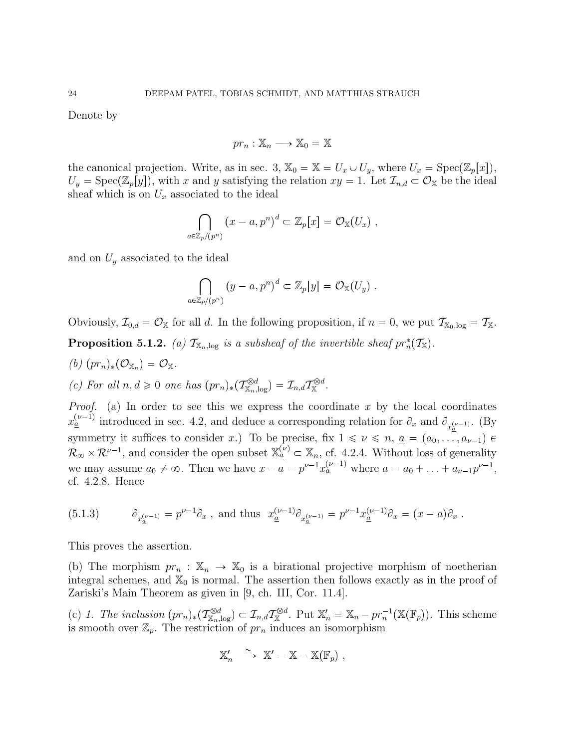Denote by

$$
pr_n : \mathbb{X}_n \longrightarrow \mathbb{X}_0 = \mathbb{X}
$$

the canonical projection. Write, as in sec. 3,  $\mathbb{X}_0 = \mathbb{X} = U_x \cup U_y$ , where  $U_x = \text{Spec}(\mathbb{Z}_p[x])$ ,  $U_y = \text{Spec}(\mathbb{Z}_p[y])$ , with x and y satisfying the relation  $xy = 1$ . Let  $\mathcal{I}_{n,d} \subset \mathcal{O}_{\mathbb{X}}$  be the ideal sheaf which is on  $U_x$  associated to the ideal

$$
\bigcap_{a\in\mathbb{Z}_p/(p^n)}(x-a,p^n)^d\subset\mathbb{Z}_p[x]=\mathcal{O}_{\mathbb{X}}(U_x)\;,
$$

and on  $U_y$  associated to the ideal

$$
\bigcap_{a\in\mathbb{Z}_p/(p^n)}\left(y-a,p^n\right)^d\subset\mathbb{Z}_p\big[y\big]=\mathcal{O}_{\mathbb{X}}(U_y)\ .
$$

Obviously,  $\mathcal{I}_{0,d} = \mathcal{O}_{\mathbb{X}}$  for all d. In the following proposition, if  $n = 0$ , we put  $\mathcal{T}_{\mathbb{X}_0,\log} = \mathcal{T}_{\mathbb{X}}$ . **Proposition 5.1.2.** (a)  $\mathcal{T}_{\mathbb{X}_n,\text{log}}$  is a subsheaf of the invertible sheaf  $pr_n^*(\mathcal{T}_{\mathbb{X}})$ .

 $(b)$   $(pr_n)_*(\mathcal{O}_{\mathbb{X}_n}) = \mathcal{O}_{\mathbb{X}}.$ (c) For all  $n, d \geq 0$  one has  $(pr_n)_*(\mathcal{T}_{X_n,\log}^{\otimes d}) = \mathcal{I}_{n,d}\mathcal{T}_{X}^{\otimes d}$ .

*Proof.* (a) In order to see this we express the coordinate x by the local coordinates  $x_{\underline{a}}^{(\nu-1)}$  introduced in sec. 4.2, and deduce a corresponding relation for  $\partial_x$  and  $\partial_{x_{\underline{a}}^{(\nu-1)}}$ . (By symmetry it suffices to consider x.) To be precise, fix  $1 \leq v \leq n$ ,  $\underline{a} = (a_0, \ldots, a_{\nu-1}) \in$  $\mathcal{R}_{\infty} \times \mathcal{R}^{\nu-1}$ , and consider the open subset  $\mathbb{X}_{\underline{a}}^{(\nu)} \subset \mathbb{X}_n$ , cf. 4.2.4. Without loss of generality we may assume  $a_0 \neq \infty$ . Then we have  $x - a = p^{\nu-1} x_{\underline{a}}^{(\nu-1)}$  where  $a = a_0 + \ldots + a_{\nu-1} p^{\nu-1}$ , cf. 4.2.8. Hence

(5.1.3) 
$$
\partial_{x_{\underline{a}}^{(\nu-1)}} = p^{\nu-1} \partial_x \text{ , and thus } x_{\underline{a}}^{(\nu-1)} \partial_{x_{\underline{a}}^{(\nu-1)}} = p^{\nu-1} x_{\underline{a}}^{(\nu-1)} \partial_x = (x-a) \partial_x.
$$

This proves the assertion.

(b) The morphism  $pr_n : \mathbb{X}_n \to \mathbb{X}_0$  is a birational projective morphism of noetherian integral schemes, and  $\mathbb{X}_0$  is normal. The assertion then follows exactly as in the proof of Zariski's Main Theorem as given in [9, ch. III, Cor. 11.4].

(c) 1. The inclusion  $(pr_n)_*(\mathcal{T}_{\mathbb{X}_n,\log}^{\otimes d}) \subset \mathcal{I}_{n,d}\mathcal{T}_{\mathbb{X}}^{\otimes d}$ . Put  $\mathbb{X}'_n = \mathbb{X}_n - pr_n^{-1}(\mathbb{X}(\mathbb{F}_p))$ . This scheme is smooth over  $\mathbb{Z}_p$ . The restriction of  $pr_n$  induces an isomorphism

$$
\mathbb{X}_n' \ \stackrel{\simeq}{\longrightarrow} \ \mathbb{X}' = \mathbb{X} - \mathbb{X}(\mathbb{F}_p) \ ,
$$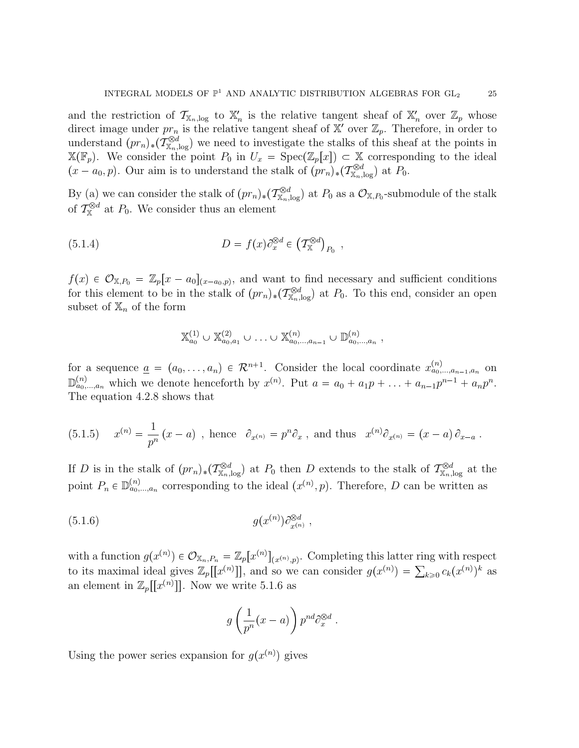and the restriction of  $\mathcal{T}_{\mathbb{X}_n,\text{log}}$  to  $\mathbb{X}'_n$  is the relative tangent sheaf of  $\mathbb{X}'_n$  over  $\mathbb{Z}_p$  whose direct image under  $pr_n$  is the relative tangent sheaf of  $\mathbb{X}'$  over  $\mathbb{Z}_p$ . Therefore, in order to understand  $(pr_n)_*(\mathcal{T}_{\mathbb{X}_n,\log}^{\otimes d})$  we need to investigate the stalks of this sheaf at the points in  $\mathbb{X}(\mathbb{F}_p)$ . We consider the point  $P_0$  in  $U_x = \text{Spec}(\mathbb{Z}_p[x]) \subset \mathbb{X}$  corresponding to the ideal  $(x - a_0, p)$ . Our aim is to understand the stalk of  $(pr_n)_*(\mathcal{T}_{\mathbb{X}_n,\log}^{\otimes d})$  at  $P_0$ .

By (a) we can consider the stalk of  $(pr_n)_*(\mathcal{T}_{\mathbb{X}_n,\log}^{\otimes d})$  at  $P_0$  as a  $\mathcal{O}_{\mathbb{X},P_0}$ -submodule of the stalk of  $\mathcal{T}_{\mathbb{X}}^{\otimes d}$  at  $P_0$ . We consider thus an element

(5.1.4) 
$$
D = f(x)\partial_x^{\otimes d} \in (\mathcal{T}_{\mathbb{X}}^{\otimes d})_{P_0} ,
$$

 $f(x) \in \mathcal{O}_{X,P_0} = \mathbb{Z}_p[x - a_0]_{(x-a_0,p)}$ , and want to find necessary and sufficient conditions for this element to be in the stalk of  $(pr_n)_*(\mathcal{T}_{\mathbb{X}_n,\log}^{\otimes d})$  at  $P_0$ . To this end, consider an open subset of  $\mathbb{X}_n$  of the form

$$
\mathbb{X}_{a_0}^{(1)} \cup \mathbb{X}_{a_0,a_1}^{(2)} \cup \ldots \cup \mathbb{X}_{a_0,\ldots,a_{n-1}}^{(n)} \cup \mathbb{D}_{a_0,\ldots,a_n}^{(n)},
$$

for a sequence  $\underline{a} = (a_0, \ldots, a_n) \in \mathcal{R}^{n+1}$ . Consider the local coordinate  $x_{a_0,\ldots,a_{n-1},a_n}^{(n)}$  on  $\mathbb{D}_{a_0,\dots,a_n}^{(n)}$  which we denote henceforth by  $x^{(n)}$ . Put  $a = a_0 + a_1p + \ldots + a_{n-1}p^{n-1} + a_np^n$ . The equation 4.2.8 shows that

(5.1.5) 
$$
x^{(n)} = \frac{1}{p^n} (x - a)
$$
, hence  $\partial_{x^{(n)}} = p^n \partial_x$ , and thus  $x^{(n)} \partial_{x^{(n)}} = (x - a) \partial_{x - a}$ .

If D is in the stalk of  $(pr_n)_*(\mathcal{T}_{\mathbb{X}_n,\log}^{\otimes d})$  at  $P_0$  then D extends to the stalk of  $\mathcal{T}_{\mathbb{X}_n,\log}^{\otimes d}$  at the point  $P_n \in \mathbb{D}_{a_0,\dots,a_n}^{(n)}$  corresponding to the ideal  $(x^{(n)},p)$ . Therefore, D can be written as

(5.1.6) 
$$
g(x^{(n)})\partial_{x^{(n)}}^{\otimes d},
$$

with a function  $g(x^{(n)}) \in \mathcal{O}_{\mathbb{X}_n, P_n} = \mathbb{Z}_p[x^{(n)}]_{(x^{(n)}, p)}$ . Completing this latter ring with respect to its maximal ideal gives  $\mathbb{Z}_p[[x^{(n)}]]$ , and so we can consider  $g(x^{(n)}) = \sum_{k \geq 0} c_k(x^{(n)})^k$  as an element in  $\mathbb{Z}_p[[x^{(n)}]]$ . Now we write 5.1.6 as

$$
g\left(\frac{1}{p^n}(x-a)\right)p^{nd}\partial_x^{\otimes d}.
$$

Using the power series expansion for  $g(x^{(n)})$  gives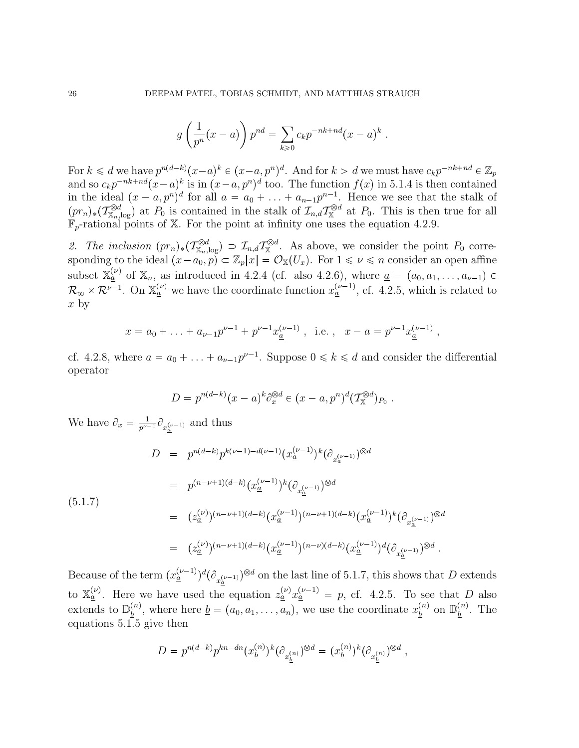$$
g\left(\frac{1}{p^n}(x-a)\right)p^{nd} = \sum_{k\geqslant 0} c_k p^{-nk+nd}(x-a)^k.
$$

For  $k \leq d$  we have  $p^{n(d-k)}(x-a)^k \in (x-a, p^n)^d$ . And for  $k > d$  we must have  $c_k p^{-nk+nd} \in \mathbb{Z}_p$ and so  $c_k p^{-nk+nd} (x-a)^k$  is in  $(x-a, p^n)^d$  too. The function  $f(x)$  in 5.1.4 is then contained in the ideal  $(x - a, p^n)^d$  for all  $a = a_0 + \ldots + a_{n-1}p^{n-1}$ . Hence we see that the stalk of  $(pr_n)_*(\mathcal{T}_{\mathbb{X}_n,\log}^{\otimes d})$  at  $P_0$  is contained in the stalk of  $\mathcal{I}_{n,d}\mathcal{T}_{\mathbb{X}}^{\otimes d}$  at  $P_0$ . This is then true for all  $\mathbb{F}_p$ -rational points of X. For the point at infinity one uses the equation 4.2.9.

2. The inclusion  $(pr_n)_*(\mathcal{T}_{\mathbb{X}_n,\log}^{\otimes d}) \supset \mathcal{I}_{n,d}\mathcal{T}_{\mathbb{X}}^{\otimes d}$ . As above, we consider the point  $P_0$  corresponding to the ideal  $(x-a_0, p) \subset \mathbb{Z}_p[x] = \mathcal{O}_{\mathbb{X}}(U_x)$ . For  $1 \leq \nu \leq n$  consider an open affine subset  $\mathbb{X}_{\underline{a}}^{(\nu)}$  of  $\mathbb{X}_n$ , as introduced in 4.2.4 (cf. also 4.2.6), where  $\underline{a} = (a_0, a_1, \ldots, a_{\nu-1}) \in$  $\mathcal{R}_{\infty} \times \mathcal{R}^{\nu-1}$ . On  $\mathbb{X}_{\underline{a}}^{(\nu)}$  we have the coordinate function  $x_{\underline{a}}^{(\nu-1)}$ , cf. 4.2.5, which is related to  $x \text{ by}$ 

$$
x = a_0 + ... + a_{\nu-1}p^{\nu-1} + p^{\nu-1}x_{\underline{a}}^{(\nu-1)}
$$
, i.e.,  $x - a = p^{\nu-1}x_{\underline{a}}^{(\nu-1)}$ ,

cf. 4.2.8, where  $a = a_0 + \ldots + a_{\nu-1}p^{\nu-1}$ . Suppose  $0 \le k \le d$  and consider the differential operator

$$
D = p^{n(d-k)}(x-a)^k \partial_x^{\otimes d} \in (x-a, p^n)^d (\mathcal{T}_{\mathbb{X}}^{\otimes d})_{P_0} .
$$

We have  $\partial_x = \frac{1}{n^{\nu}}$  $\frac{1}{p^{\nu-1}} \partial_{x_a^{(\nu-1)}}$  and thus

$$
D = p^{n(d-k)} p^{k(\nu-1)-d(\nu-1)} (x_{\underline{a}}^{(\nu-1)})^k (\partial_{x_{\underline{a}}^{(\nu-1)}})^{\otimes d}
$$
  
\n
$$
= p^{(n-\nu+1)(d-k)} (x_{\underline{a}}^{(\nu-1)})^k (\partial_{x_{\underline{a}}^{(\nu-1)}})^{\otimes d}
$$
  
\n
$$
= (z_{\underline{a}}^{(\nu)})^{(n-\nu+1)(d-k)} (x_{\underline{a}}^{(\nu-1)})^{(n-\nu+1)(d-k)} (x_{\underline{a}}^{(\nu-1)})^k (\partial_{x_{\underline{a}}^{(\nu-1)}})^{\otimes d}
$$
  
\n
$$
= (z_{\underline{a}}^{(\nu)})^{(n-\nu+1)(d-k)} (x_{\underline{a}}^{(\nu-1)})^{(n-\nu)(d-k)} (x_{\underline{a}}^{(\nu-1)})^d (\partial_{x_{\underline{a}}^{(\nu-1)}})^{\otimes d}.
$$

Because of the term  $(x_{\underline{a}}^{(\nu-1)})^d(\partial_{x_{\underline{a}}^{(\nu-1)}})^{\otimes d}$  on the last line of 5.1.7, this shows that D extends to  $\mathbb{X}_{\underline{a}}^{(\nu)}$ . Here we have used the equation  $z_{\underline{a}}^{(\nu)} x_{\underline{a}}^{(\nu-1)} = p$ , cf. 4.2.5. To see that D also extends to  $\mathbb{D}_{h}^{(n)}$  $\frac{b^{(n)}}{b}$ , where here  $\underline{b} = (a_0, a_1, \ldots, a_n)$ , we use the coordinate  $x_{\underline{b}}^{(n)}$  $\frac{\binom{n}{b}}{b}$  on  $\mathbb{D}_{\underline{b}}^{(n)}$  $\frac{b}{b}$ . The equations 5.1.5 give then

$$
D = p^{n(d-k)} p^{kn - dn} (x_{\underline{b}}^{(n)})^k (\partial_{x_{\underline{b}}^{(n)}})^{\otimes d} = (x_{\underline{b}}^{(n)})^k (\partial_{x_{\underline{b}}^{(n)}})^{\otimes d},
$$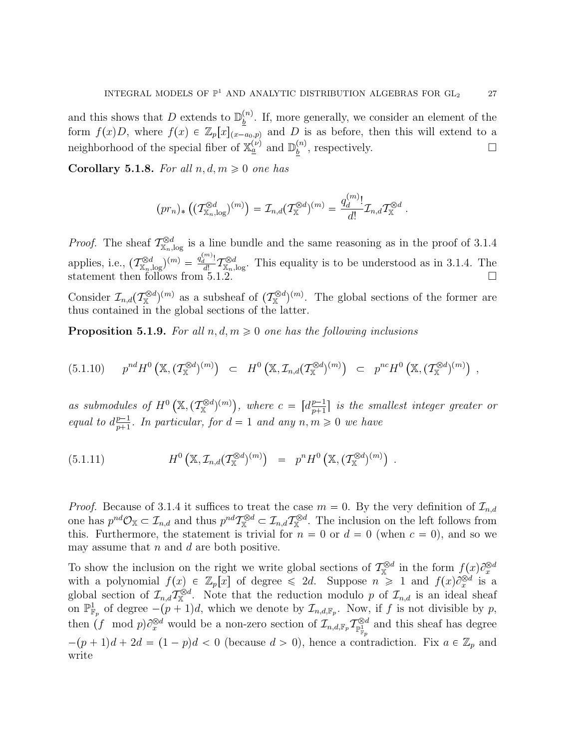and this shows that D extends to  $\mathbb{D}_{h}^{(n)}$  $\frac{b^{(n)}}{b}$ . If, more generally, we consider an element of the form  $f(x)D$ , where  $f(x) \in \mathbb{Z}_p[x]_{(x-a_0,p)}$  and D is as before, then this will extend to a neighborhood of the special fiber of  $\mathbb{X}_{a}^{(\nu)}$  and  $\mathbb{D}_{b}^{(n)}$  $\frac{b^{(n)}}{b}$ , respectively.

Corollary 5.1.8. For all  $n, d, m \geq 0$  one has

$$
(pr_n)_* ((\mathcal{T}_{X_n,\log}^{\otimes d})^{(m)}) = \mathcal{I}_{n,d} (\mathcal{T}_{X}^{\otimes d})^{(m)} = \frac{q_d^{(m)}}{d!} \mathcal{I}_{n,d} \mathcal{T}_{X}^{\otimes d} .
$$

*Proof.* The sheaf  $\mathcal{T}_{X}^{\otimes d}$  $\mathbb{X}_{n,\log}^{\otimes d}$  is a line bundle and the same reasoning as in the proof of 3.1.4 applies, i.e.,  $(\mathcal{T}_{\mathbb{X}_n,\log}^{\otimes d})^{(m)} = \frac{q_d^{(m)}!}{d!}$  $\overline{d_1^{[l]}}^{\mathcal{D}d} \mathcal{I}_{\mathbb{X}_n,\log}^{\otimes d}$ . This equality is to be understood as in 3.1.4. The statement then follows from  $5.1.2$ .

Consider  $\mathcal{I}_{n,d}(\mathcal{T}_{\mathbb{X}}^{\otimes d})^{(m)}$  as a subsheaf of  $(\mathcal{T}_{\mathbb{X}}^{\otimes d})^{(m)}$ . The global sections of the former are thus contained in the global sections of the latter.

**Proposition 5.1.9.** For all  $n, d, m \geq 0$  one has the following inclusions

$$
(5.1.10) \t p^{nd} H^{0}\left(\mathbb{X}, (\mathcal{T}_{\mathbb{X}}^{\otimes d})^{(m)}\right) \subset H^{0}\left(\mathbb{X}, \mathcal{I}_{n,d}(\mathcal{T}_{\mathbb{X}}^{\otimes d})^{(m)}\right) \subset p^{nc} H^{0}\left(\mathbb{X}, (\mathcal{T}_{\mathbb{X}}^{\otimes d})^{(m)}\right) ,
$$

as submodules of  $H^0\left(\mathbb{X},(\mathcal{T}_{\mathbb{X}}^{\otimes d})^{(m)}\right)$ , where  $c = [d_{n+1}^{\underline{p-1}}]$  $\frac{p-1}{p+1}$  is the smallest integer greater or equal to  $d_{n+1}^{p-1}$  $\frac{p-1}{p+1}$ . In particular, for  $d=1$  and any  $n, m \geqslant 0$  we have

(5.1.11) 
$$
H^{0}\left(\mathbb{X}, \mathcal{I}_{n,d}(\mathcal{T}_{\mathbb{X}}^{\otimes d})^{(m)}\right) = p^{n} H^{0}\left(\mathbb{X}, (\mathcal{T}_{\mathbb{X}}^{\otimes d})^{(m)}\right).
$$

*Proof.* Because of 3.1.4 it suffices to treat the case  $m = 0$ . By the very definition of  $\mathcal{I}_{n,d}$ one has  $p^{nd}\mathcal{O}_\mathbb{X}\subset \mathcal{I}_{n,d}$  and thus  $p^{nd}\mathcal{I}^{\otimes d}_\mathbb{X}\subset \mathcal{I}_{n,d}\mathcal{I}^{\otimes d}_\mathbb{X}$ . The inclusion on the left follows from this. Furthermore, the statement is trivial for  $n = 0$  or  $d = 0$  (when  $c = 0$ ), and so we may assume that  $n$  and  $d$  are both positive.

To show the inclusion on the right we write global sections of  $\mathcal{T}_{\mathbb{X}}^{\otimes d}$  in the form  $f(x) \partial_x^{\otimes d}$ with a polynomial  $f(x) \in \mathbb{Z}_p[x]$  of degree  $\leq 2d$ . Suppose  $n \geq 1$  and  $f(x) \partial_x^{\otimes d}$  is a global section of  $\mathcal{I}_{n,d}\mathcal{I}_{\mathbb{X}}^{\otimes d}$ . Note that the reduction modulo p of  $\mathcal{I}_{n,d}$  is an ideal sheaf on  $\mathbb{P}^1_{\mathbb{F}_p}$  of degree  $-(p+1)d$ , which we denote by  $\mathcal{I}_{n,d,\mathbb{F}_p}$ . Now, if f is not divisible by p, then  $(f \mod p) \partial_x^{\otimes d}$  would be a non-zero section of  $\mathcal{I}_{n,d,\mathbb{F}_p} \mathcal{I}_{\mathbb{P}_{\mathbb{F}_p}^d}^{\otimes d}$  and this sheaf has degree  $-(p+1)d + 2d = (1-p)d < 0$  (because  $d > 0$ ), hence a contradiction. Fix  $a \in \mathbb{Z}_p$  and write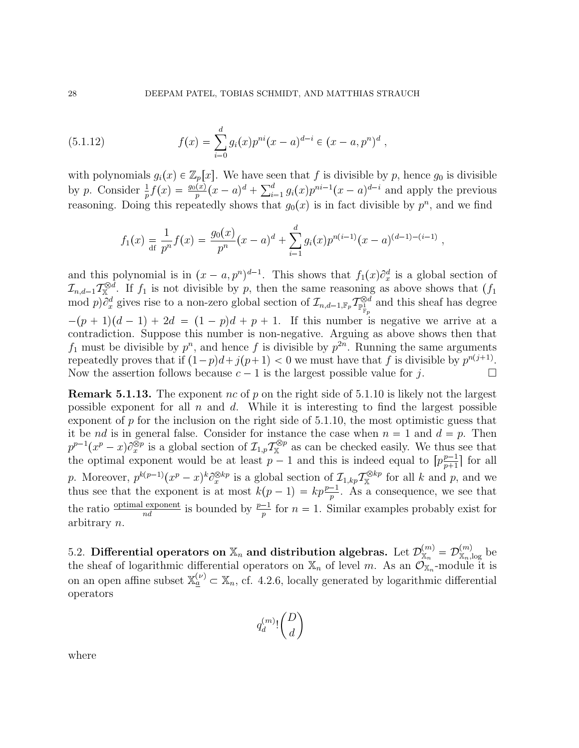(5.1.12) 
$$
f(x) = \sum_{i=0}^{d} g_i(x) p^{ni}(x-a)^{d-i} \in (x-a, p^n)^d,
$$

with polynomials  $g_i(x) \in \mathbb{Z}_p[x]$ . We have seen that f is divisible by p, hence  $g_0$  is divisible by p. Consider  $\frac{1}{p}f(x) = \frac{g_0(x)}{p}(x-a)^d + \sum_{i=1}^d g_i(x)p^{ni-1}(x-a)^{d-i}$  and apply the previous reasoning. Doing this repeatedly shows that  $g_0(x)$  is in fact divisible by  $p^n$ , and we find

$$
f_1(x) = {1 \over d!} p^n f(x) = {g_0(x) \over p^n} (x - a)^d + \sum_{i=1}^d g_i(x) p^{n(i-1)} (x - a)^{(d-1)-(i-1)},
$$

and this polynomial is in  $(x - a, p^n)^{d-1}$ . This shows that  $f_1(x)\partial_x^d$  is a global section of x  $\mathcal{I}_{n,d-1}\mathcal{I}_{\mathbb{X}}^{\otimes d}$ . If  $f_1$  is not divisible by p, then the same reasoning as above shows that  $(f_1)$  $\text{mod } p$ ) $\partial_x^d$  gives rise to a non-zero global section of  $\mathcal{I}_{n,d-1,\mathbb{F}_p} \mathcal{I}_{\mathbb{P}^1_{\mathbb{F}_p}}^{\otimes d}$  and this sheaf has degree  $-(p+1)(d-1)+2d = (1-p)d + p + 1$ . If this number is negative we arrive at a contradiction. Suppose this number is non-negative. Arguing as above shows then that  $f_1$  must be divisible by  $p^n$ , and hence f is divisible by  $p^{2n}$ . Running the same arguments repeatedly proves that if  $(1-p)d+j(p+1) < 0$  we must have that f is divisible by  $p^{n(j+1)}$ . Now the assertion follows because  $c-1$  is the largest possible value for j.

**Remark 5.1.13.** The exponent nc of p on the right side of 5.1.10 is likely not the largest possible exponent for all  $n$  and  $d$ . While it is interesting to find the largest possible exponent of  $p$  for the inclusion on the right side of 5.1.10, the most optimistic guess that it be nd is in general false. Consider for instance the case when  $n = 1$  and  $d = p$ . Then  $p^{p-1}(x^p-x)\partial_x^{\otimes p}$  is a global section of  $\mathcal{I}_{1,p}\mathcal{T}_{\mathbb{X}}^{\otimes p}$  as can be checked easily. We thus see that the optimal exponent would be at least  $p-1$  and this is indeed equal to  $\left[p_{n+1}^{p-1}\right]$  $\frac{p-1}{p+1}$  for all p. Moreover,  $p^{k(p-1)}(x^p-x)^k\partial_x^{\otimes kp}$  is a global section of  $\mathcal{I}_{1,kp}\mathcal{T}_{\mathbb{X}}^{\otimes kp}$  for all k and p, and we thus see that the exponent is at most  $k(p-1) = kp \frac{p-1}{p}$ . As a consequence, we see that the ratio  $\frac{\text{optimal exponent}}{nd}$  is bounded by  $\frac{p-1}{p}$  for  $n=1$ . Similar examples probably exist for arbitrary n.

5.2. Differential operators on  $\mathbb{X}_n$  and distribution algebras. Let  $\mathcal{D}_{\mathbb{X}_n}^{(m)}=\mathcal{D}_{\mathbb{X}_n,\log}^{(m)}$  be the sheaf of logarithmic differential operators on  $\mathbb{X}_n$  of level m. As an  $\mathcal{O}_{\mathbb{X}_n}$ -module it is on an open affine subset  $\mathbb{X}_{a}^{(\nu)} \subset \mathbb{X}_{n}$ , cf. 4.2.6, locally generated by logarithmic differential operators

$$
q^{(m)}_d! \binom{D}{d}
$$

where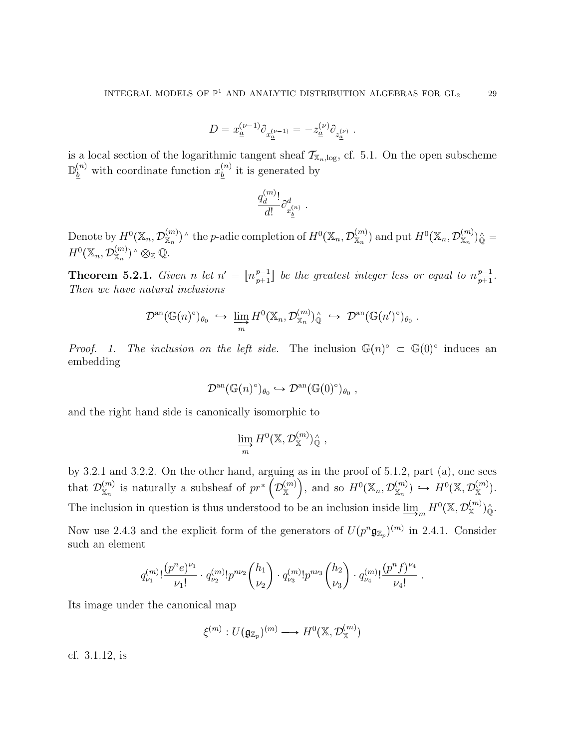$$
D = x_{\underline{a}}^{(\nu-1)} \partial_{x_{\underline{a}}^{(\nu-1)}} = - z_{\underline{a}}^{(\nu)} \partial_{z_{\underline{a}}^{(\nu)}} \; .
$$

is a local section of the logarithmic tangent sheaf  $\mathcal{T}_{X_n,\log}$ , cf. 5.1. On the open subscheme  $\mathbb{D}_{\underline{b}}^{(n)}$  with coordinate function  $x_{\underline{b}}^{(n)}$  $\frac{b}{b}$  it is generated by

$$
\frac{q^{(m)}_d!}{d!}\partial^d_{x^{(n)}_{\underline{b}}}\ .
$$

Denote by  $H^0(\mathbb{X}_n, \mathcal{D}_{\mathbb{X}_n}^{(m)})^{\wedge}$  the p-adic completion of  $H^0(\mathbb{X}_n, \mathcal{D}_{\mathbb{X}_n}^{(m)})$  and put  $H^0(\mathbb{X}_n, \mathcal{D}_{\mathbb{X}_n}^{(m)})^{\wedge}_{\mathbb{Q}}$  $H^0(\mathbb X_n, \mathcal{D}_{\mathbb X_n}^{(m)})^{\wedge} \otimes_{\mathbb Z} \mathbb Q.$ 

**Theorem 5.2.1.** Given n let  $n' = \lfloor n \frac{p-1}{n+1} \rfloor$  $\frac{p-1}{p+1}$  be the greatest integer less or equal to  $n\frac{p-1}{p+1}$  $\frac{p-1}{p+1}$ . Then we have natural inclusions

$$
\mathcal{D}^{\mathrm{an}}(\mathbb{G}(n)^{\circ})_{\theta_0} \hookrightarrow \varinjlim_{m} H^{0}(\mathbb{X}_n, \mathcal{D}_{\mathbb{X}_n}^{(m)})_{\mathbb{Q}}^{\wedge} \hookrightarrow \mathcal{D}^{\mathrm{an}}(\mathbb{G}(n')^{\circ})_{\theta_0}.
$$

*Proof.* 1. The inclusion on the left side. The inclusion  $\mathbb{G}(n)^\circ \subset \mathbb{G}(0)^\circ$  induces an embedding

$$
\mathcal{D}^{\mathrm{an}}(\mathbb{G}(n)^{\circ})_{\theta_0} \hookrightarrow \mathcal{D}^{\mathrm{an}}(\mathbb{G}(0)^{\circ})_{\theta_0},
$$

and the right hand side is canonically isomorphic to

$$
\varinjlim_{m} H^{0}(\mathbb{X}, \mathcal{D}_{\mathbb{X}}^{(m)})^{\wedge}_{\mathbb{Q}},
$$

by 3.2.1 and 3.2.2. On the other hand, arguing as in the proof of 5.1.2, part (a), one sees that  $\mathcal{D}_{\mathbb{X}_n}^{(m)}$  is naturally a subsheaf of  $pr^*\left(\mathcal{D}_{\mathbb{X}}^{(m)}\right)$ , and so  $H^0(\mathbb{X}_n, \mathcal{D}_{\mathbb{X}_n}^{(m)}) \hookrightarrow H^0(\mathbb{X}, \mathcal{D}_{\mathbb{X}}^{(m)})$ . The inclusion in question is thus understood to be an inclusion inside  $\varinjlim_m H^0(\mathbb{X}, \mathcal{D}_{\mathbb{X}}^{(m)})^{\wedge}_{\mathbb{Q}}$ .

Now use 2.4.3 and the explicit form of the generators of  $U(p^n \mathfrak{g}_{\mathbb{Z}_p})^{(m)}$  in 2.4.1. Consider such an element

$$
q^{(m)}_{\nu_1}! \frac{(p^n e)^{\nu_1}}{\nu_1!} \cdot q^{(m)}_{\nu_2}! p^{n\nu_2} {h_1 \choose \nu_2} \cdot q^{(m)}_{\nu_3}! p^{n\nu_3} {h_2 \choose \nu_3} \cdot q^{(m)}_{\nu_4}! \frac{(p^n f)^{\nu_4}}{\nu_4!}.
$$

Its image under the canonical map

$$
\xi^{(m)}: U(\mathfrak{g}_{\mathbb{Z}_p})^{(m)} \longrightarrow H^0(\mathbb{X}, \mathcal{D}_{\mathbb{X}}^{(m)})
$$

cf. 3.1.12, is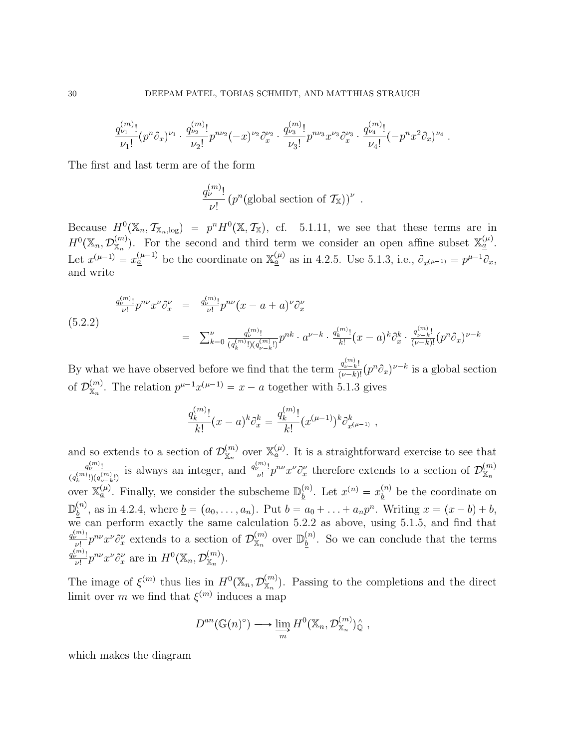$$
\frac{q^{(m)}_{\nu_1}!}{\nu_1!} (p^n \partial_x)^{\nu_1} \cdot \frac{q^{(m)}_{\nu_2}!}{\nu_2!} p^{n\nu_2}(-x)^{\nu_2} \partial_x^{\nu_2} \cdot \frac{q^{(m)}_{\nu_3}!}{\nu_3!} p^{n\nu_3} x^{\nu_3} \partial_x^{\nu_3} \cdot \frac{q^{(m)}_{\nu_4}!}{\nu_4!} (-p^n x^2 \partial_x)^{\nu_4}.
$$

The first and last term are of the form

$$
\frac{q_{\nu}^{(m)}!}{\nu!} (p^n(\text{global section of } \mathcal{T}_{\mathbb{X}}))^{\nu} .
$$

Because  $H^0(\mathbb{X}_n, \mathcal{T}_{\mathbb{X}_n,\log}) = p^n H^0(\mathbb{X}, \mathcal{T}_{\mathbb{X}})$ , cf. 5.1.11, we see that these terms are in  $H^0(\mathbb{X}_n, \mathcal{D}_{\mathbb{X}_n}^{(m)})$ . For the second and third term we consider an open affine subset  $\mathbb{X}_{\underline{a}}^{(\mu)}$ . Let  $x^{(\mu-1)} = x_{\underline{a}}^{(\mu-1)}$  be the coordinate on  $\mathbb{X}_{\underline{a}}^{(\mu)}$  as in 4.2.5. Use 5.1.3, i.e.,  $\partial_{x^{(\mu-1)}} = p^{\mu-1}\partial_x$ , and write

$$
(5.2.2)
$$
\n
$$
\frac{q_{\nu}^{(m)}!}{\nu!}p^{n\nu}x^{\nu}\partial_x^{\nu} = \frac{q_{\nu}^{(m)}!}{\nu!}p^{n\nu}(x-a+a)^{\nu}\partial_x^{\nu}
$$
\n
$$
= \sum_{k=0}^{\nu} \frac{q_{\nu}^{(m)}!}{(q_{k}^{(m)}!)(q_{\nu-k}^{(m)})}p^{nk} \cdot a^{\nu-k} \cdot \frac{q_{k}^{(m)}!}{k!}(x-a)^{k}\partial_x^{k} \cdot \frac{q_{\nu-k}^{(m)}!}{(\nu-k)!}(p^{n}\partial_x)^{\nu-k}
$$

By what we have observed before we find that the term  $\frac{q_{\nu-k}^{(m)}!}{q_{\nu-k}^{(m)}!}$  $\frac{q_{\nu-k}!}{(\nu-k)!}(p^n\partial_x)^{\nu-k}$  is a global section of  $\mathcal{D}_{\mathbb{X}_n}^{(m)}$ . The relation  $p^{\mu-1}x^{(\mu-1)} = x - a$  together with 5.1.3 gives

$$
\frac{q_k^{(m)}}{k!}(x-a)^k\partial_x^k = \frac{q_k^{(m)}}{k!}(x^{(\mu-1)})^k\partial_{x^{(\mu-1)}}^k,
$$

and so extends to a section of  $\mathcal{D}_{\mathbb{X}_n}^{(m)}$  over  $\mathbb{X}_{\underline{a}}^{(\mu)}$ . It is a straightforward exercise to see that  $q_\nu^{(m)}$ !  $\frac{q_{\nu}^{(m)}!}{(q_{k}^{(m)}!)(q_{\nu-k}^{(m)}!)}$  is always an integer, and  $\frac{q_{\nu}^{(m)}!}{\nu!}$  $\frac{m!}{\nu!}p^{n\nu}x^{\nu}\partial_x^{\nu}$  therefore extends to a section of  $\mathcal{D}_{\mathbb{X}_n}^{(m)}$ over  $\mathbb{X}_{\underline{a}}^{(\mu)}$ . Finally, we consider the subscheme  $\mathbb{D}_{b}^{(n)}$  $\frac{b^{(n)}}{b}$ . Let  $x^{(n)} = x_b^{(n)}$  $\frac{b^{(n)}}{b}$  be the coordinate on  $\mathbb{D}^{(n)}$  $\frac{b^{(n)}}{b}$ , as in 4.2.4, where  $\underline{b} = (a_0, \ldots, a_n)$ . Put  $b = a_0 + \ldots + a_n p^n$ . Writing  $x = (x - b) + b$ , we can perform exactly the same calculation 5.2.2 as above, using 5.1.5, and find that  $q_\nu^{(m)}$ !  $\frac{m_1}{\nu!}p^{n\nu}x^{\nu}\partial_x^{\nu}$  extends to a section of  $\mathcal{D}_{\mathbb{X}_n}^{(m)}$  over  $\mathbb{D}_{\underline{b}}^{(n)}$  $\frac{b^{(n)}}{b}$ . So we can conclude that the terms  $q_\nu^{(m)}!$  $\frac{f^{(m)}}{\omega!} p^{n\nu} x^{\nu} \partial_x^{\nu}$  are in  $H^0(\mathbb{X}_n, \mathcal{D}_{\mathbb{X}_n}^{(m)})$ .

The image of  $\xi^{(m)}$  thus lies in  $H^0(\mathbb{X}_n, \mathcal{D}_{\mathbb{X}_n}^{(m)})$ . Passing to the completions and the direct limit over m we find that  $\xi^{(m)}$  induces a map

$$
D^{an}(\mathbb{G}(n)^{\circ}) \longrightarrow \varinjlim_{m} H^{0}(\mathbb{X}_{n}, \mathcal{D}_{\mathbb{X}_{n}}^{(m)})_{\mathbb{Q}}^{\wedge} ,
$$

which makes the diagram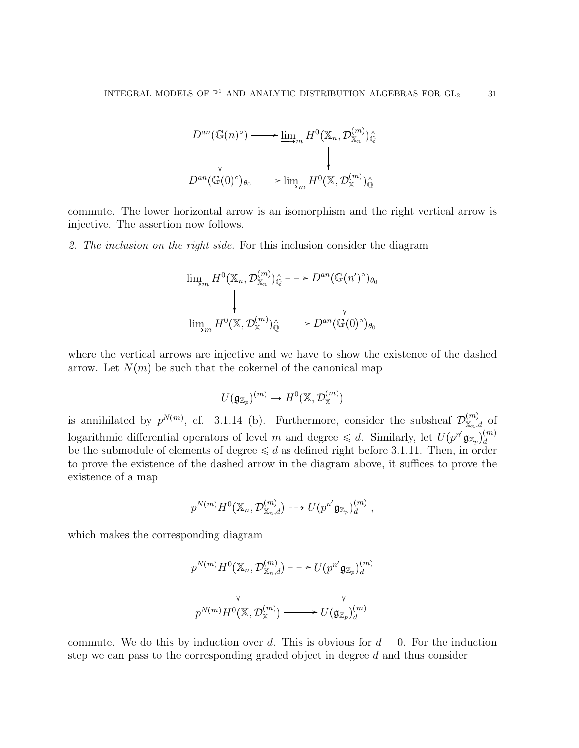$$
D^{an}(\mathbb{G}(n)^{\circ}) \longrightarrow \underline{\lim}_{m} H^{0}(\mathbb{X}_{n}, \mathcal{D}_{\mathbb{X}_{n}}^{(m)})_{\mathbb{Q}}^{\wedge}
$$

$$
\downarrow \qquad \qquad \downarrow
$$

$$
D^{an}(\mathbb{G}(0)^{\circ})_{\theta_{0}} \longrightarrow \underline{\lim}_{m} H^{0}(\mathbb{X}, \mathcal{D}_{\mathbb{X}}^{(m)})_{\mathbb{Q}}^{\wedge}
$$

commute. The lower horizontal arrow is an isomorphism and the right vertical arrow is injective. The assertion now follows.

2. The inclusion on the right side. For this inclusion consider the diagram

$$
\underline{\lim}_{m} H^{0}(\mathbb{X}_{n}, \mathcal{D}_{\mathbb{X}_{n}}^{(m)})_{\mathbb{Q}}^{\wedge} \longrightarrow D^{an}(\mathbb{G}(n')^{\circ})_{\theta_{0}}
$$
\n
$$
\downarrow \qquad \qquad \downarrow
$$
\n
$$
\underline{\lim}_{m} H^{0}(\mathbb{X}, \mathcal{D}_{\mathbb{X}}^{(m)})_{\mathbb{Q}}^{\wedge} \longrightarrow D^{an}(\mathbb{G}(0)^{\circ})_{\theta_{0}}
$$

where the vertical arrows are injective and we have to show the existence of the dashed arrow. Let  $N(m)$  be such that the cokernel of the canonical map

$$
U(\mathfrak{g}_{\mathbb{Z}_p})^{(m)} \to H^0(\mathbb{X}, \mathcal{D}_{\mathbb{X}}^{(m)})
$$

is annihilated by  $p^{N(m)}$ , cf. 3.1.14 (b). Furthermore, consider the subsheaf  $\mathcal{D}_{X_n,d}^{(m)}$  of logarithmic differential operators of level m and degree  $\leq d$ . Similarly, let  $U(p^{n'}\mathfrak{g}_{\mathbb{Z}_p})_d^{(m)}$ d be the submodule of elements of degree  $\leq d$  as defined right before 3.1.11. Then, in order to prove the existence of the dashed arrow in the diagram above, it suffices to prove the existence of a map

$$
p^{N(m)} H^{0}(\mathbb{X}_n, \mathcal{D}^{(m)}_{\mathbb{X}_n, d}) \dashrightarrow U(p^{n'} \mathfrak{g}_{\mathbb{Z}_p})^{(m)}_d,
$$

which makes the corresponding diagram

$$
p^{N(m)} H^{0}(\mathbb{X}_{n}, \mathcal{D}_{\mathbb{X}_{n}, d}^{(m)}) \longrightarrow U(p^{n'} \mathfrak{g}_{\mathbb{Z}_{p}})_{d}^{(m)}
$$
  

$$
\downarrow \qquad \qquad \downarrow
$$
  

$$
p^{N(m)} H^{0}(\mathbb{X}, \mathcal{D}_{\mathbb{X}}^{(m)}) \longrightarrow U(\mathfrak{g}_{\mathbb{Z}_{p}})_{d}^{(m)}
$$

commute. We do this by induction over d. This is obvious for  $d = 0$ . For the induction step we can pass to the corresponding graded object in degree d and thus consider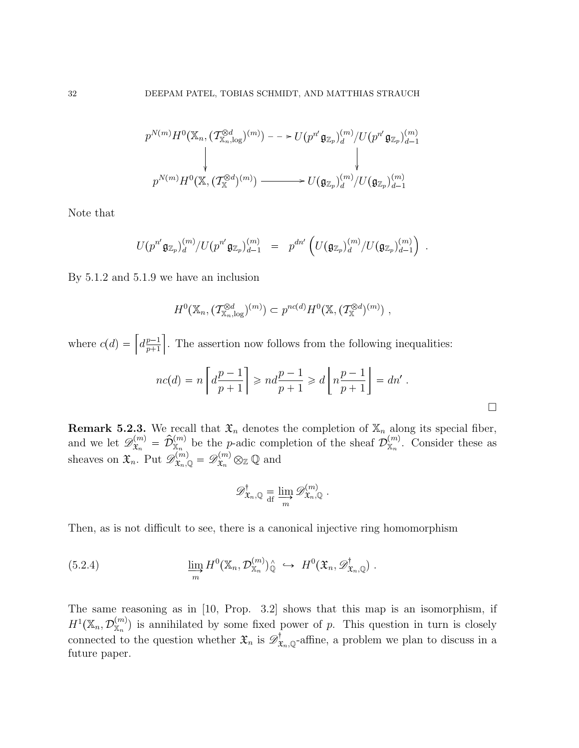$$
p^{N(m)}H^{0}(\mathbb{X}_{n},(\mathcal{T}^{\otimes d}_{\mathbb{X}_{n},\log})^{(m)})--\succ U(p^{n'}\mathfrak{g}_{\mathbb{Z}_{p}})_{d}^{(m)}/U(p^{n'}\mathfrak{g}_{\mathbb{Z}_{p}})_{d-1}^{(m)}
$$
\n
$$
\downarrow
$$
\n
$$
p^{N(m)}H^{0}(\mathbb{X},(\mathcal{T}^{\otimes d}_{\mathbb{X}})^{(m)})\longrightarrow U(\mathfrak{g}_{\mathbb{Z}_{p}})_{d}^{(m)}/U(\mathfrak{g}_{\mathbb{Z}_{p}})_{d-1}^{(m)}
$$

Note that

$$
U(p^{n'}\mathfrak{g}_{\mathbb{Z}_p})_{d}^{(m)}/U(p^{n'}\mathfrak{g}_{\mathbb{Z}_p})_{d-1}^{(m)} \ = \ p^{dn'}\left(U(\mathfrak{g}_{\mathbb{Z}_p})_{d}^{(m)}/U(\mathfrak{g}_{\mathbb{Z}_p})_{d-1}^{(m)}\right) \ .
$$

By 5.1.2 and 5.1.9 we have an inclusion

$$
H^{0}(\mathbb{X}_{n},(\mathcal{T}^{\otimes d}_{\mathbb{X}_{n},\log})^{(m)})\subset p^{nc(d)}H^{0}(\mathbb{X},(\mathcal{T}^{\otimes d}_{\mathbb{X}})^{(m)}) ,
$$

where  $c(d) = \left[ d \frac{p-1}{p+1} \right]$  $_{p+1}$ . The assertion now follows from the following inequalities:

$$
nc(d) = n \left[ d \frac{p-1}{p+1} \right] \geqslant nd \frac{p-1}{p+1} \geqslant d \left[ n \frac{p-1}{p+1} \right] = dn'.
$$

**Remark 5.2.3.** We recall that  $\mathfrak{X}_n$  denotes the completion of  $\mathbb{X}_n$  along its special fiber, and we let  $\mathscr{D}_{\mathfrak{X}_n}^{(m)} = \hat{\mathcal{D}}_{\mathbb{X}_n}^{(m)}$  be the p-adic completion of the sheaf  $\mathcal{D}_{\mathbb{X}_n}^{(m)}$ . Consider these as sheaves on  $\mathfrak{X}_n$ . Put  $\mathscr{D}_{\mathfrak{X}_n,\mathbb{Q}}^{(m)} = \mathscr{D}_{\mathfrak{X}_n}^{(m)} \otimes_{\mathbb{Z}} \mathbb{Q}$  and

$$
\mathscr{D}_{\mathfrak{X}_n,\mathbb{Q}}^{\dagger} \underset{\text{df}}{=} \varinjlim_{m} \mathscr{D}_{\mathfrak{X}_n,\mathbb{Q}}^{(m)}.
$$

Then, as is not difficult to see, there is a canonical injective ring homomorphism

(5.2.4) 
$$
\lim_{m} H^{0}(\mathbb{X}_{n}, \mathcal{D}_{\mathbb{X}_{n}}^{(m)})_{\mathbb{Q}}^{\wedge} \hookrightarrow H^{0}(\mathfrak{X}_{n}, \mathscr{D}_{\mathfrak{X}_{n}, \mathbb{Q}}^{\dagger}).
$$

The same reasoning as in [10, Prop. 3.2] shows that this map is an isomorphism, if  $H^1(\mathbb{X}_n, \mathcal{D}_{\mathbb{X}_n}^{(m)})$  is annihilated by some fixed power of p. This question in turn is closely connected to the question whether  $\mathfrak{X}_n$  is  $\mathscr{D}^{\dagger}_{\mathfrak{X}_n,\mathbb{Q}}$ -affine, a problem we plan to discuss in a future paper.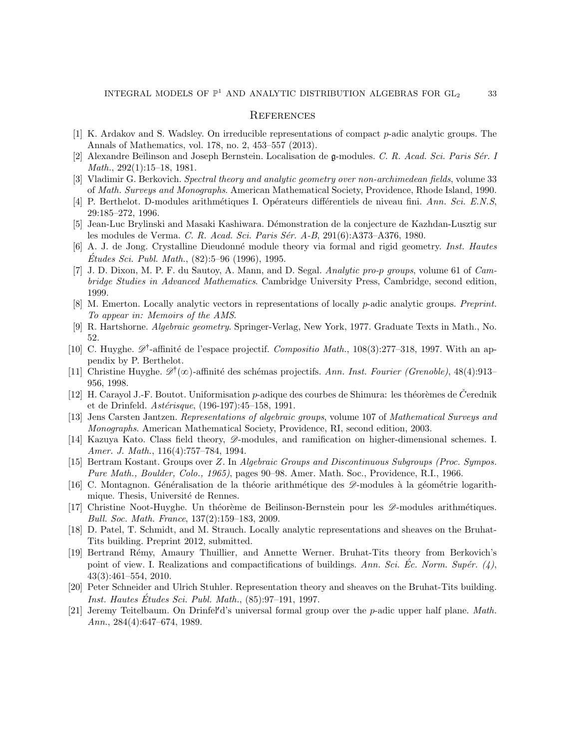#### **REFERENCES**

- [1] K. Ardakov and S. Wadsley. On irreducible representations of compact p-adic analytic groups. The Annals of Mathematics, vol. 178, no. 2, 453–557 (2013).
- [2] Alexandre Beĭlinson and Joseph Bernstein. Localisation de g-modules. C. R. Acad. Sci. Paris Sér. I Math., 292(1):15–18, 1981.
- [3] Vladimir G. Berkovich. Spectral theory and analytic geometry over non-archimedean fields, volume 33 of Math. Surveys and Monographs. American Mathematical Society, Providence, Rhode Island, 1990.
- [4] P. Berthelot. D-modules arithmétiques I. Opérateurs différentiels de niveau fini. Ann. Sci. E.N.S, 29:185–272, 1996.
- [5] Jean-Luc Brylinski and Masaki Kashiwara. D´emonstration de la conjecture de Kazhdan-Lusztig sur les modules de Verma. C. R. Acad. Sci. Paris Sér. A-B, 291(6):A373–A376, 1980.
- [6] A. J. de Jong. Crystalline Dieudonn´e module theory via formal and rigid geometry. Inst. Hautes  $\dot{E}$ tudes Sci. Publ. Math.,  $(82):5-96$  (1996), 1995.
- [7] J. D. Dixon, M. P. F. du Sautoy, A. Mann, and D. Segal. Analytic pro-p groups, volume 61 of Cambridge Studies in Advanced Mathematics. Cambridge University Press, Cambridge, second edition, 1999.
- [8] M. Emerton. Locally analytic vectors in representations of locally p-adic analytic groups. Preprint. To appear in: Memoirs of the AMS.
- [9] R. Hartshorne. Algebraic geometry. Springer-Verlag, New York, 1977. Graduate Texts in Math., No. 52.
- [10] C. Huyghe.  $\mathscr{D}^{\dagger}$ -affinité de l'espace projectif. Compositio Math., 108(3):277–318, 1997. With an appendix by P. Berthelot.
- [11] Christine Huyghe.  $\mathscr{D}^{\dagger}(\infty)$ -affinité des schémas projectifs. Ann. Inst. Fourier (Grenoble), 48(4):913– 956, 1998.
- [12] H. Carayol J.-F. Boutot. Uniformisation  $p$ -adique des courbes de Shimura: les théorèmes de C $\check{C}$ erednik et de Drinfeld.  $Ast\acute{e}risque$ , (196-197):45-158, 1991.
- [13] Jens Carsten Jantzen. Representations of algebraic groups, volume 107 of Mathematical Surveys and Monographs. American Mathematical Society, Providence, RI, second edition, 2003.
- [14] Kazuya Kato. Class field theory,  $\mathscr{D}$ -modules, and ramification on higher-dimensional schemes. I. Amer. J. Math., 116(4):757–784, 1994.
- [15] Bertram Kostant. Groups over Z. In Algebraic Groups and Discontinuous Subgroups (Proc. Sympos. Pure Math., Boulder, Colo., 1965), pages 90–98. Amer. Math. Soc., Providence, R.I., 1966.
- [16] C. Montagnon. Généralisation de la théorie arithmétique des  $\mathscr{D}$ -modules à la géométrie logarithmique. Thesis, Université de Rennes.
- [17] Christine Noot-Huyghe. Un théorème de Beilinson-Bernstein pour les  $\mathscr{D}$ -modules arithmétiques. Bull. Soc. Math. France, 137(2):159–183, 2009.
- [18] D. Patel, T. Schmidt, and M. Strauch. Locally analytic representations and sheaves on the Bruhat-Tits building. Preprint 2012, submitted.
- [19] Bertrand Rémy, Amaury Thuillier, and Annette Werner. Bruhat-Tits theory from Berkovich's point of view. I. Realizations and compactifications of buildings. Ann. Sci. Ec. Norm. Supér.  $(4)$ , 43(3):461–554, 2010.
- [20] Peter Schneider and Ulrich Stuhler. Representation theory and sheaves on the Bruhat-Tits building. Inst. Hautes Études Sci. Publ. Math.,  $(85):97-191$ , 1997.
- [21] Jeremy Teitelbaum. On Drinfel'd's universal formal group over the *p*-adic upper half plane. *Math.* Ann., 284(4):647–674, 1989.